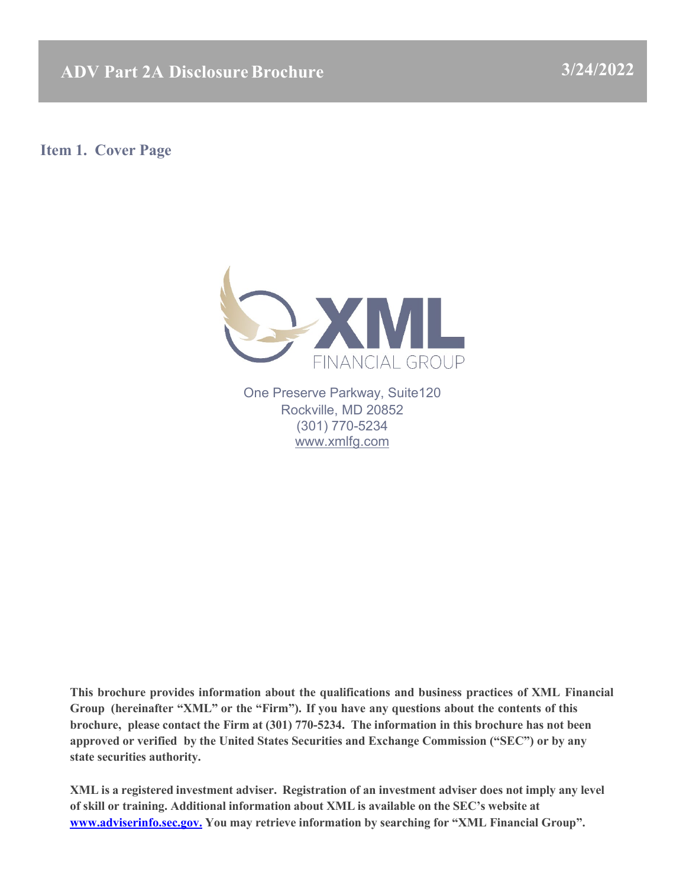**ADV Part 2A Disclosure Brochure 3/24/2022** 

<span id="page-0-0"></span>**Item 1. Cover Page**



One Preserve Parkway, Suite120 Rockville, MD 20852 (301) 770-5234 [www.xmlfg.com](http://www.xmlfg.com/)

**This brochure provides information about the qualifications and business practices of XML Financial Group (hereinafter "XML" or the "Firm"). If you have any questions about the contents of this brochure, please contact the Firm at (301) 770-5234. The information in this brochure has not been approved or verified by the United States Securities and Exchange Commission ("SEC") or by any state securities authority.**

**XML is a registered investment adviser. Registration of an investment adviser does not imply any level of skill or training. Additional information about XML is available on the SEC's website at [www.adviserinfo.sec.gov.](http://www.adviserinfo.sec.gov./) You may retrieve information by searching for "XML Financial Group".**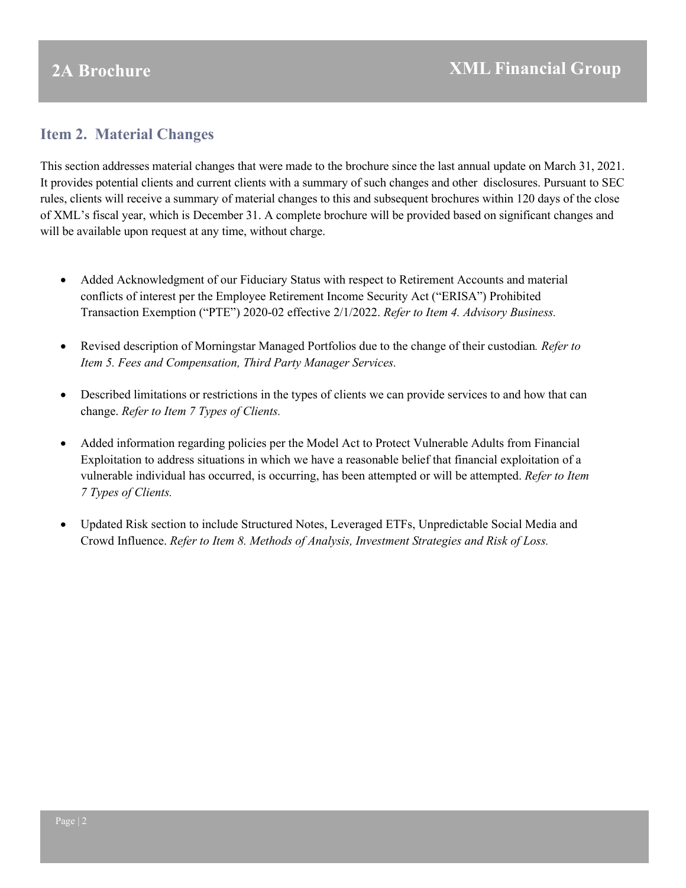## <span id="page-1-0"></span>**Item 2. Material Changes**

This section addresses material changes that were made to the brochure since the last annual update on March 31, 2021. It provides potential clients and current clients with a summary of such changes and other disclosures. Pursuant to SEC rules, clients will receive a summary of material changes to this and subsequent brochures within 120 days of the close of XML's fiscal year, which is December 31. A complete brochure will be provided based on significant changes and will be available upon request at any time, without charge.

- Added Acknowledgment of our Fiduciary Status with respect to Retirement Accounts and material conflicts of interest per the Employee Retirement Income Security Act ("ERISA") Prohibited Transaction Exemption ("PTE") 2020-02 effective 2/1/2022. *Refer to Item 4. Advisory Business.*
- Revised description of Morningstar Managed Portfolios due to the change of their custodian*. Refer to Item 5. Fees and Compensation, Third Party Manager Services.*
- Described limitations or restrictions in the types of clients we can provide services to and how that can change. *Refer to Item 7 Types of Clients.*
- Added information regarding policies per the Model Act to Protect Vulnerable Adults from Financial Exploitation to address situations in which we have a reasonable belief that financial exploitation of a vulnerable individual has occurred, is occurring, has been attempted or will be attempted. *Refer to Item 7 Types of Clients.*
- <span id="page-1-1"></span>• Updated Risk section to include Structured Notes, Leveraged ETFs, Unpredictable Social Media and Crowd Influence. *Refer to Item 8. Methods of Analysis, Investment Strategies and Risk of Loss.*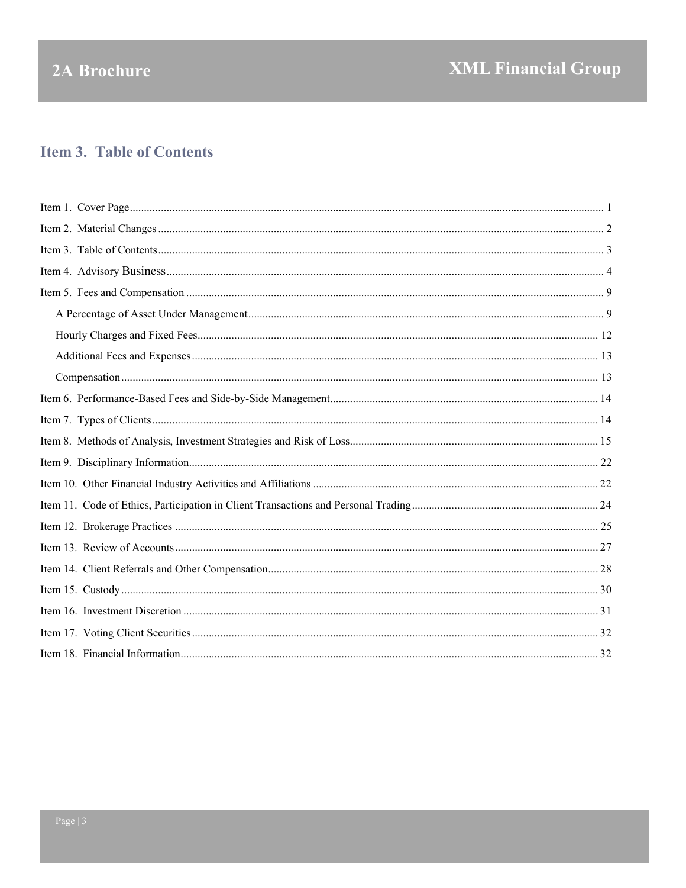# 2A Brochure

## **Item 3. Table of Contents**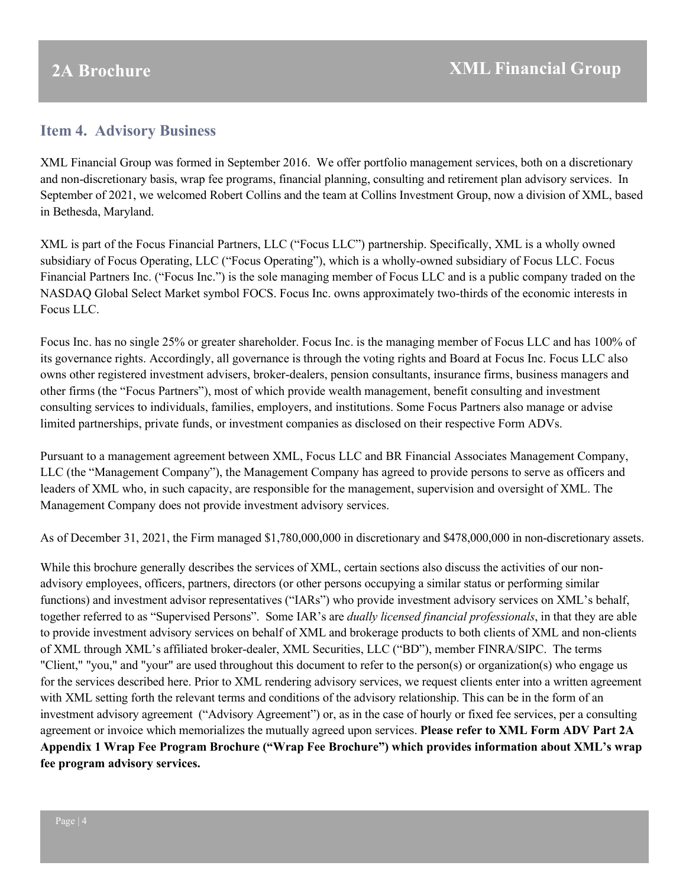## <span id="page-3-0"></span>**Item 4. Advisory Business**

XML Financial Group was formed in September 2016. We offer portfolio management services, both on a discretionary and non-discretionary basis, wrap fee programs, financial planning, consulting and retirement plan advisory services. In September of 2021, we welcomed Robert Collins and the team at Collins Investment Group, now a division of XML, based in Bethesda, Maryland.

XML is part of the Focus Financial Partners, LLC ("Focus LLC") partnership. Specifically, XML is a wholly owned subsidiary of Focus Operating, LLC ("Focus Operating"), which is a wholly-owned subsidiary of Focus LLC. Focus Financial Partners Inc. ("Focus Inc.") is the sole managing member of Focus LLC and is a public company traded on the NASDAQ Global Select Market symbol FOCS. Focus Inc. owns approximately two-thirds of the economic interests in Focus LLC.

Focus Inc. has no single 25% or greater shareholder. Focus Inc. is the managing member of Focus LLC and has 100% of its governance rights. Accordingly, all governance is through the voting rights and Board at Focus Inc. Focus LLC also owns other registered investment advisers, broker-dealers, pension consultants, insurance firms, business managers and other firms (the "Focus Partners"), most of which provide wealth management, benefit consulting and investment consulting services to individuals, families, employers, and institutions. Some Focus Partners also manage or advise limited partnerships, private funds, or investment companies as disclosed on their respective Form ADVs.

Pursuant to a management agreement between XML, Focus LLC and BR Financial Associates Management Company, LLC (the "Management Company"), the Management Company has agreed to provide persons to serve as officers and leaders of XML who, in such capacity, are responsible for the management, supervision and oversight of XML. The Management Company does not provide investment advisory services.

As of December 31, 2021, the Firm managed \$1,780,000,000 in discretionary and \$478,000,000 in non-discretionary assets.

While this brochure generally describes the services of XML, certain sections also discuss the activities of our nonadvisory employees, officers, partners, directors (or other persons occupying a similar status or performing similar functions) and investment advisor representatives ("IARs") who provide investment advisory services on XML's behalf, together referred to as "Supervised Persons". Some IAR's are *dually licensed financial professionals*, in that they are able to provide investment advisory services on behalf of XML and brokerage products to both clients of XML and non-clients of XML through XML's affiliated broker-dealer, XML Securities, LLC ("BD"), member FINRA/SIPC. The terms "Client," "you," and "your" are used throughout this document to refer to the person(s) or organization(s) who engage us for the services described here. Prior to XML rendering advisory services, we request clients enter into a written agreement with XML setting forth the relevant terms and conditions of the advisory relationship. This can be in the form of an investment advisory agreement ("Advisory Agreement") or, as in the case of hourly or fixed fee services, per a consulting agreement or invoice which memorializes the mutually agreed upon services. **Please refer to XML Form ADV Part 2A Appendix 1 Wrap Fee Program Brochure ("Wrap Fee Brochure") which provides information about XML's wrap fee program advisory services.**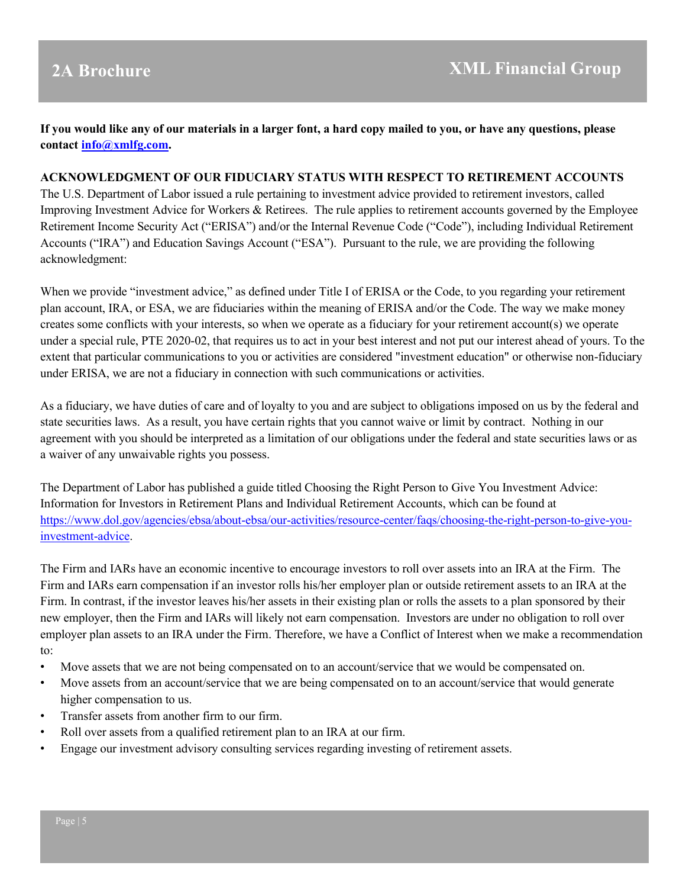**If you would like any of our materials in a larger font, a hard copy mailed to you, or have any questions, please contact [info@xmlfg.com.](mailto:info@xmlfg.com)**

#### **ACKNOWLEDGMENT OF OUR FIDUCIARY STATUS WITH RESPECT TO RETIREMENT ACCOUNTS**

The U.S. Department of Labor issued a rule pertaining to investment advice provided to retirement investors, called Improving Investment Advice for Workers & Retirees. The rule applies to retirement accounts governed by the Employee Retirement Income Security Act ("ERISA") and/or the Internal Revenue Code ("Code"), including Individual Retirement Accounts ("IRA") and Education Savings Account ("ESA"). Pursuant to the rule, we are providing the following acknowledgment:

When we provide "investment advice," as defined under Title I of ERISA or the Code, to you regarding your retirement plan account, IRA, or ESA, we are fiduciaries within the meaning of ERISA and/or the Code. The way we make money creates some conflicts with your interests, so when we operate as a fiduciary for your retirement account(s) we operate under a special rule, PTE 2020-02, that requires us to act in your best interest and not put our interest ahead of yours. To the extent that particular communications to you or activities are considered "investment education" or otherwise non-fiduciary under ERISA, we are not a fiduciary in connection with such communications or activities.

As a fiduciary, we have duties of care and of loyalty to you and are subject to obligations imposed on us by the federal and state securities laws. As a result, you have certain rights that you cannot waive or limit by contract. Nothing in our agreement with you should be interpreted as a limitation of our obligations under the federal and state securities laws or as a waiver of any unwaivable rights you possess.

The Department of Labor has published a guide titled Choosing the Right Person to Give You Investment Advice: Information for Investors in Retirement Plans and Individual Retirement Accounts, which can be found at [https://www.dol.gov/agencies/ebsa/about-ebsa/our-activities/resource-center/faqs/choosing-the-right-person-to-give-you](https://www.dol.gov/agencies/ebsa/about-ebsa/our-activities/resource-center/faqs/choosing-the-right-person-to-give-you-investment-advice)[investment-advice.](https://www.dol.gov/agencies/ebsa/about-ebsa/our-activities/resource-center/faqs/choosing-the-right-person-to-give-you-investment-advice)

The Firm and IARs have an economic incentive to encourage investors to roll over assets into an IRA at the Firm. The Firm and IARs earn compensation if an investor rolls his/her employer plan or outside retirement assets to an IRA at the Firm. In contrast, if the investor leaves his/her assets in their existing plan or rolls the assets to a plan sponsored by their new employer, then the Firm and IARs will likely not earn compensation. Investors are under no obligation to roll over employer plan assets to an IRA under the Firm. Therefore, we have a Conflict of Interest when we make a recommendation to:

- Move assets that we are not being compensated on to an account/service that we would be compensated on.
- Move assets from an account/service that we are being compensated on to an account/service that would generate higher compensation to us.
- Transfer assets from another firm to our firm.
- Roll over assets from a qualified retirement plan to an IRA at our firm.
- Engage our investment advisory consulting services regarding investing of retirement assets.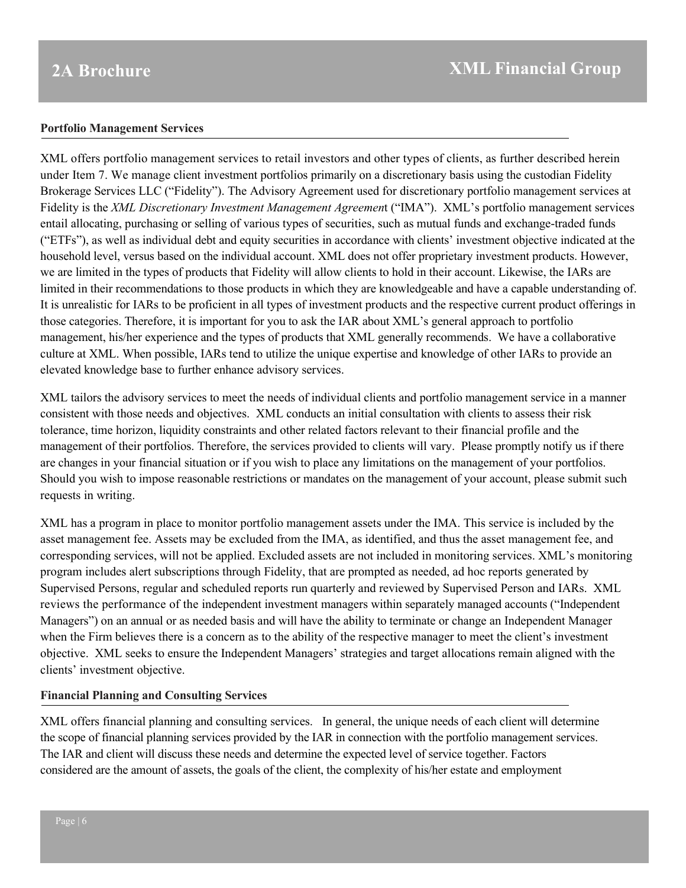#### **Portfolio Management Services**

XML offers portfolio management services to retail investors and other types of clients, as further described herein under Item 7. We manage client investment portfolios primarily on a discretionary basis using the custodian Fidelity Brokerage Services LLC ("Fidelity"). The Advisory Agreement used for discretionary portfolio management services at Fidelity is the *XML Discretionary Investment Management Agreemen*t ("IMA"). XML's portfolio management services entail allocating, purchasing or selling of various types of securities, such as mutual funds and exchange-traded funds ("ETFs"), as well as individual debt and equity securities in accordance with clients' investment objective indicated at the household level, versus based on the individual account. XML does not offer proprietary investment products. However, we are limited in the types of products that Fidelity will allow clients to hold in their account. Likewise, the IARs are limited in their recommendations to those products in which they are knowledgeable and have a capable understanding of. It is unrealistic for IARs to be proficient in all types of investment products and the respective current product offerings in those categories. Therefore, it is important for you to ask the IAR about XML's general approach to portfolio management, his/her experience and the types of products that XML generally recommends. We have a collaborative culture at XML. When possible, IARs tend to utilize the unique expertise and knowledge of other IARs to provide an elevated knowledge base to further enhance advisory services.

XML tailors the advisory services to meet the needs of individual clients and portfolio management service in a manner consistent with those needs and objectives. XML conducts an initial consultation with clients to assess their risk tolerance, time horizon, liquidity constraints and other related factors relevant to their financial profile and the management of their portfolios. Therefore, the services provided to clients will vary. Please promptly notify us if there are changes in your financial situation or if you wish to place any limitations on the management of your portfolios. Should you wish to impose reasonable restrictions or mandates on the management of your account, please submit such requests in writing.

XML has a program in place to monitor portfolio management assets under the IMA. This service is included by the asset management fee. Assets may be excluded from the IMA, as identified, and thus the asset management fee, and corresponding services, will not be applied. Excluded assets are not included in monitoring services. XML's monitoring program includes alert subscriptions through Fidelity, that are prompted as needed, ad hoc reports generated by Supervised Persons, regular and scheduled reports run quarterly and reviewed by Supervised Person and IARs. XML reviews the performance of the independent investment managers within separately managed accounts ("Independent Managers") on an annual or as needed basis and will have the ability to terminate or change an Independent Manager when the Firm believes there is a concern as to the ability of the respective manager to meet the client's investment objective. XML seeks to ensure the Independent Managers' strategies and target allocations remain aligned with the clients' investment objective.

### **Financial Planning and Consulting Services**

XML offers financial planning and consulting services. In general, the unique needs of each client will determine the scope of financial planning services provided by the IAR in connection with the portfolio management services. The IAR and client will discuss these needs and determine the expected level of service together. Factors considered are the amount of assets, the goals of the client, the complexity of his/her estate and employment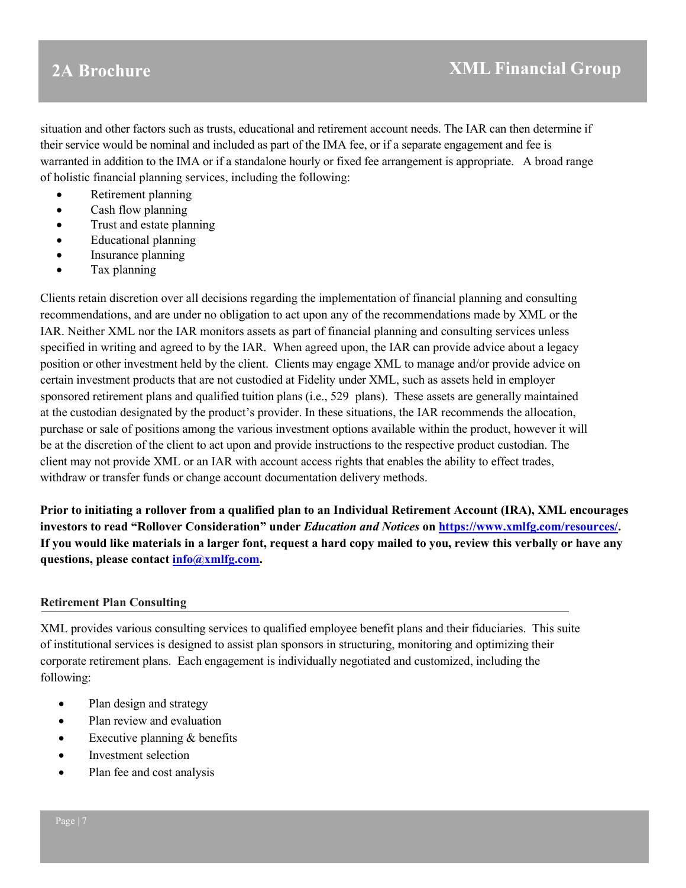situation and other factors such as trusts, educational and retirement account needs. The IAR can then determine if their service would be nominal and included as part of the IMA fee, or if a separate engagement and fee is warranted in addition to the IMA or if a standalone hourly or fixed fee arrangement is appropriate. A broad range of holistic financial planning services, including the following:

- Retirement planning
- Cash flow planning
- Trust and estate planning
- Educational planning
- Insurance planning
- Tax planning

Clients retain discretion over all decisions regarding the implementation of financial planning and consulting recommendations, and are under no obligation to act upon any of the recommendations made by XML or the IAR. Neither XML nor the IAR monitors assets as part of financial planning and consulting services unless specified in writing and agreed to by the IAR. When agreed upon, the IAR can provide advice about a legacy position or other investment held by the client. Clients may engage XML to manage and/or provide advice on certain investment products that are not custodied at Fidelity under XML, such as assets held in employer sponsored retirement plans and qualified tuition plans (i.e., 529 plans). These assets are generally maintained at the custodian designated by the product's provider. In these situations, the IAR recommends the allocation, purchase or sale of positions among the various investment options available within the product, however it will be at the discretion of the client to act upon and provide instructions to the respective product custodian. The client may not provide XML or an IAR with account access rights that enables the ability to effect trades, withdraw or transfer funds or change account documentation delivery methods.

**Prior to initiating a rollover from a qualified plan to an Individual Retirement Account (IRA), XML encourages investors to read "Rollover Consideration" under** *Education and Notices* **on [https://www.xmlfg.com/resources/.](https://www.xmlfg.com/resources/) If you would like materials in a larger font, request a hard copy mailed to you, review this verbally or have any questions, please contact [info@xmlfg.com.](mailto:info@xmlfg.com)** 

### **Retirement Plan Consulting**

XML provides various consulting services to qualified employee benefit plans and their fiduciaries. This suite of institutional services is designed to assist plan sponsors in structuring, monitoring and optimizing their corporate retirement plans. Each engagement is individually negotiated and customized, including the following:

- Plan design and strategy
- Plan review and evaluation
- Executive planning & benefits
- Investment selection
- Plan fee and cost analysis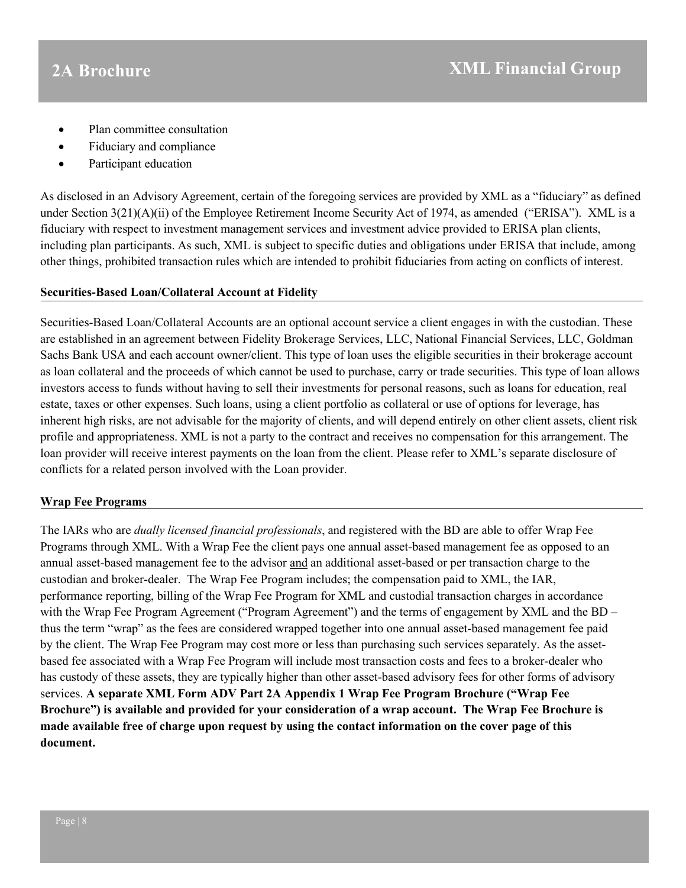- Plan committee consultation
- Fiduciary and compliance
- Participant education

As disclosed in an Advisory Agreement, certain of the foregoing services are provided by XML as a "fiduciary" as defined under Section 3(21)(A)(ii) of the Employee Retirement Income Security Act of 1974, as amended ("ERISA"). XML is a fiduciary with respect to investment management services and investment advice provided to ERISA plan clients, including plan participants. As such, XML is subject to specific duties and obligations under ERISA that include, among other things, prohibited transaction rules which are intended to prohibit fiduciaries from acting on conflicts of interest.

#### **Securities-Based Loan/Collateral Account at Fidelity**

Securities-Based Loan/Collateral Accounts are an optional account service a client engages in with the custodian. These are established in an agreement between Fidelity Brokerage Services, LLC, National Financial Services, LLC, Goldman Sachs Bank USA and each account owner/client. This type of loan uses the eligible securities in their brokerage account as loan collateral and the proceeds of which cannot be used to purchase, carry or trade securities. This type of loan allows investors access to funds without having to sell their investments for personal reasons, such as loans for education, real estate, taxes or other expenses. Such loans, using a client portfolio as collateral or use of options for leverage, has inherent high risks, are not advisable for the majority of clients, and will depend entirely on other client assets, client risk profile and appropriateness. XML is not a party to the contract and receives no compensation for this arrangement. The loan provider will receive interest payments on the loan from the client. Please refer to XML's separate disclosure of conflicts for a related person involved with the Loan provider.

### **Wrap Fee Programs**

<span id="page-7-0"></span>The IARs who are *dually licensed financial professionals*, and registered with the BD are able to offer Wrap Fee Programs through XML. With a Wrap Fee the client pays one annual asset-based management fee as opposed to an annual asset-based management fee to the advisor and an additional asset-based or per transaction charge to the custodian and broker-dealer. The Wrap Fee Program includes; the compensation paid to XML, the IAR, performance reporting, billing of the Wrap Fee Program for XML and custodial transaction charges in accordance with the Wrap Fee Program Agreement ("Program Agreement") and the terms of engagement by XML and the BD – thus the term "wrap" as the fees are considered wrapped together into one annual asset-based management fee paid by the client. The Wrap Fee Program may cost more or less than purchasing such services separately. As the assetbased fee associated with a Wrap Fee Program will include most transaction costs and fees to a broker-dealer who has custody of these assets, they are typically higher than other asset-based advisory fees for other forms of advisory services. **A separate XML Form ADV Part 2A Appendix 1 Wrap Fee Program Brochure ("Wrap Fee Brochure") is available and provided for your consideration of a wrap account. The Wrap Fee Brochure is made available free of charge upon request by using the contact information on the cover page of this document.**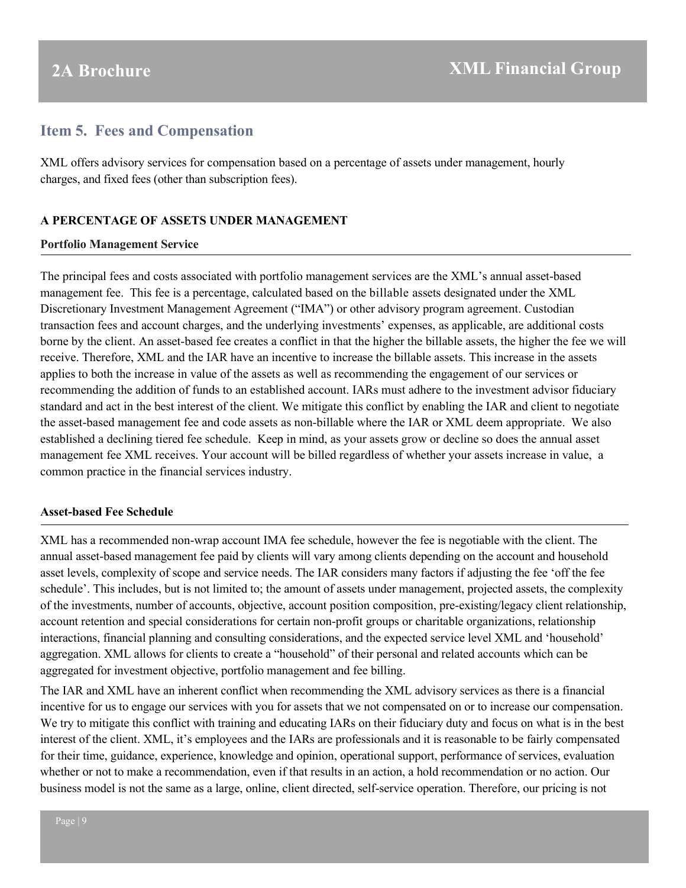## **Item 5. Fees and Compensation**

XML offers advisory services for compensation based on a percentage of assets under management, hourly charges, and fixed fees (other than subscription fees).

#### **A PERCENTAGE OF ASSETS UNDER MANAGEMENT**

#### **Portfolio Management Service**

The principal fees and costs associated with portfolio management services are the XML's annual asset-based management fee. This fee is a percentage, calculated based on the billable assets designated under the XML Discretionary Investment Management Agreement ("IMA") or other advisory program agreement. Custodian transaction fees and account charges, and the underlying investments' expenses, as applicable, are additional costs borne by the client. An asset-based fee creates a conflict in that the higher the billable assets, the higher the fee we will receive. Therefore, XML and the IAR have an incentive to increase the billable assets. This increase in the assets applies to both the increase in value of the assets as well as recommending the engagement of our services or recommending the addition of funds to an established account. IARs must adhere to the investment advisor fiduciary standard and act in the best interest of the client. We mitigate this conflict by enabling the IAR and client to negotiate the asset-based management fee and code assets as non-billable where the IAR or XML deem appropriate. We also established a declining tiered fee schedule. Keep in mind, as your assets grow or decline so does the annual asset management fee XML receives. Your account will be billed regardless of whether your assets increase in value, a common practice in the financial services industry.

### **Asset-based Fee Schedule**

XML has a recommended non-wrap account IMA fee schedule, however the fee is negotiable with the client. The annual asset-based management fee paid by clients will vary among clients depending on the account and household asset levels, complexity of scope and service needs. The IAR considers many factors if adjusting the fee 'off the fee schedule'. This includes, but is not limited to; the amount of assets under management, projected assets, the complexity of the investments, number of accounts, objective, account position composition, pre-existing/legacy client relationship, account retention and special considerations for certain non-profit groups or charitable organizations, relationship interactions, financial planning and consulting considerations, and the expected service level XML and 'household' aggregation. XML allows for clients to create a "household" of their personal and related accounts which can be aggregated for investment objective, portfolio management and fee billing.

The IAR and XML have an inherent conflict when recommending the XML advisory services as there is a financial incentive for us to engage our services with you for assets that we not compensated on or to increase our compensation. We try to mitigate this conflict with training and educating IARs on their fiduciary duty and focus on what is in the best interest of the client. XML, it's employees and the IARs are professionals and it is reasonable to be fairly compensated for their time, guidance, experience, knowledge and opinion, operational support, performance of services, evaluation whether or not to make a recommendation, even if that results in an action, a hold recommendation or no action. Our business model is not the same as a large, online, client directed, self-service operation. Therefore, our pricing is not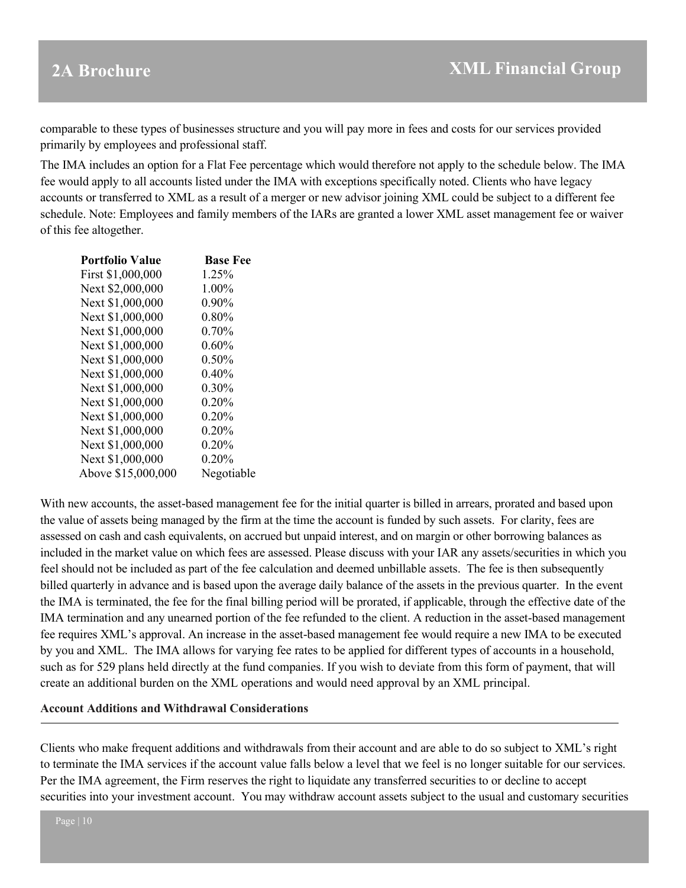comparable to these types of businesses structure and you will pay more in fees and costs for our services provided primarily by employees and professional staff.

The IMA includes an option for a Flat Fee percentage which would therefore not apply to the schedule below. The IMA fee would apply to all accounts listed under the IMA with exceptions specifically noted. Clients who have legacy accounts or transferred to XML as a result of a merger or new advisor joining XML could be subject to a different fee schedule. Note: Employees and family members of the IARs are granted a lower XML asset management fee or waiver of this fee altogether.

| <b>Portfolio Value</b> | <b>Base Fee</b> |
|------------------------|-----------------|
| First \$1,000,000      | 1.25%           |
| Next \$2,000,000       | 1.00%           |
| Next \$1,000,000       | 0.90%           |
| Next \$1,000,000       | $0.80\%$        |
| Next \$1,000,000       | 0.70%           |
| Next \$1,000,000       | 0.60%           |
| Next \$1,000,000       | 0.50%           |
| Next \$1,000,000       | 0.40%           |
| Next \$1,000,000       | $0.30\%$        |
| Next \$1,000,000       | 0.20%           |
| Next \$1,000,000       | 0.20%           |
| Next \$1,000,000       | $0.20\%$        |
| Next \$1,000,000       | 0.20%           |
| Next \$1,000,000       | 0.20%           |
| Above \$15,000,000     | Negotiable      |

With new accounts, the asset-based management fee for the initial quarter is billed in arrears, prorated and based upon the value of assets being managed by the firm at the time the account is funded by such assets. For clarity, fees are assessed on cash and cash equivalents, on accrued but unpaid interest, and on margin or other borrowing balances as included in the market value on which fees are assessed. Please discuss with your IAR any assets/securities in which you feel should not be included as part of the fee calculation and deemed unbillable assets. The fee is then subsequently billed quarterly in advance and is based upon the average daily balance of the assets in the previous quarter. In the event the IMA is terminated, the fee for the final billing period will be prorated, if applicable, through the effective date of the IMA termination and any unearned portion of the fee refunded to the client. A reduction in the asset-based management fee requires XML's approval. An increase in the asset-based management fee would require a new IMA to be executed by you and XML. The IMA allows for varying fee rates to be applied for different types of accounts in a household, such as for 529 plans held directly at the fund companies. If you wish to deviate from this form of payment, that will create an additional burden on the XML operations and would need approval by an XML principal.

#### **Account Additions and Withdrawal Considerations**

Clients who make frequent additions and withdrawals from their account and are able to do so subject to XML's right to terminate the IMA services if the account value falls below a level that we feel is no longer suitable for our services. Per the IMA agreement, the Firm reserves the right to liquidate any transferred securities to or decline to accept securities into your investment account. You may withdraw account assets subject to the usual and customary securities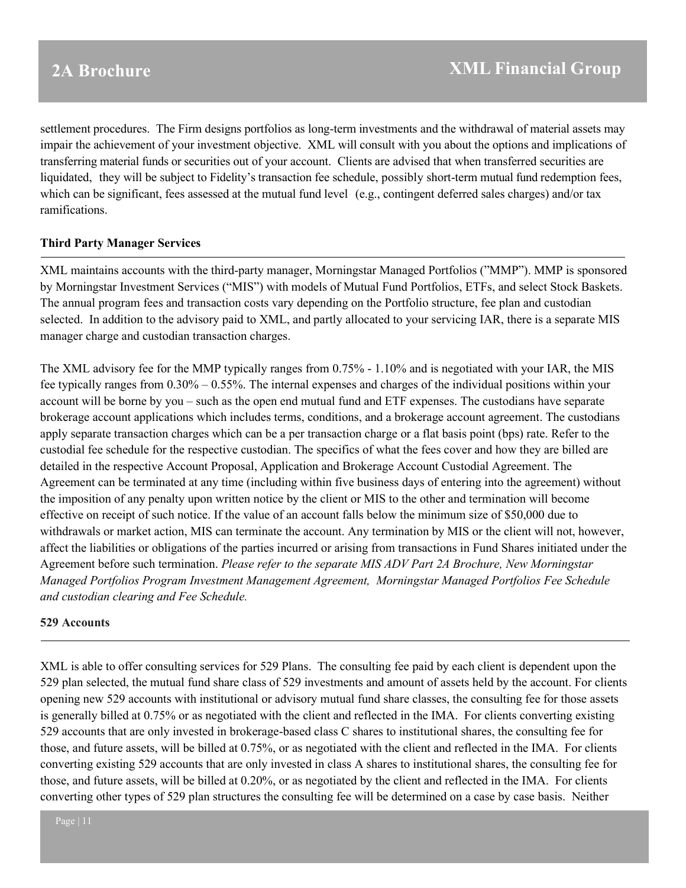settlement procedures. The Firm designs portfolios as long-term investments and the withdrawal of material assets may impair the achievement of your investment objective. XML will consult with you about the options and implications of transferring material funds or securities out of your account. Clients are advised that when transferred securities are liquidated, they will be subject to Fidelity's transaction fee schedule, possibly short-term mutual fund redemption fees, which can be significant, fees assessed at the mutual fund level (e.g., contingent deferred sales charges) and/or tax ramifications.

### **Third Party Manager Services**

XML maintains accounts with the third-party manager, Morningstar Managed Portfolios ("MMP"). MMP is sponsored by Morningstar Investment Services ("MIS") with models of Mutual Fund Portfolios, ETFs, and select Stock Baskets. The annual program fees and transaction costs vary depending on the Portfolio structure, fee plan and custodian selected. In addition to the advisory paid to XML, and partly allocated to your servicing IAR, there is a separate MIS manager charge and custodian transaction charges.

The XML advisory fee for the MMP typically ranges from 0.75% - 1.10% and is negotiated with your IAR, the MIS fee typically ranges from 0.30% – 0.55%. The internal expenses and charges of the individual positions within your account will be borne by you – such as the open end mutual fund and ETF expenses. The custodians have separate brokerage account applications which includes terms, conditions, and a brokerage account agreement. The custodians apply separate transaction charges which can be a per transaction charge or a flat basis point (bps) rate. Refer to the custodial fee schedule for the respective custodian. The specifics of what the fees cover and how they are billed are detailed in the respective Account Proposal, Application and Brokerage Account Custodial Agreement. The Agreement can be terminated at any time (including within five business days of entering into the agreement) without the imposition of any penalty upon written notice by the client or MIS to the other and termination will become effective on receipt of such notice. If the value of an account falls below the minimum size of \$50,000 due to withdrawals or market action, MIS can terminate the account. Any termination by MIS or the client will not, however, affect the liabilities or obligations of the parties incurred or arising from transactions in Fund Shares initiated under the Agreement before such termination. *Please refer to the separate MIS ADV Part 2A Brochure, New Morningstar Managed Portfolios Program Investment Management Agreement, Morningstar Managed Portfolios Fee Schedule and custodian clearing and Fee Schedule.*

### **529 Accounts**

XML is able to offer consulting services for 529 Plans. The consulting fee paid by each client is dependent upon the 529 plan selected, the mutual fund share class of 529 investments and amount of assets held by the account. For clients opening new 529 accounts with institutional or advisory mutual fund share classes, the consulting fee for those assets is generally billed at 0.75% or as negotiated with the client and reflected in the IMA. For clients converting existing 529 accounts that are only invested in brokerage-based class C shares to institutional shares, the consulting fee for those, and future assets, will be billed at 0.75%, or as negotiated with the client and reflected in the IMA. For clients converting existing 529 accounts that are only invested in class A shares to institutional shares, the consulting fee for those, and future assets, will be billed at 0.20%, or as negotiated by the client and reflected in the IMA. For clients converting other types of 529 plan structures the consulting fee will be determined on a case by case basis. Neither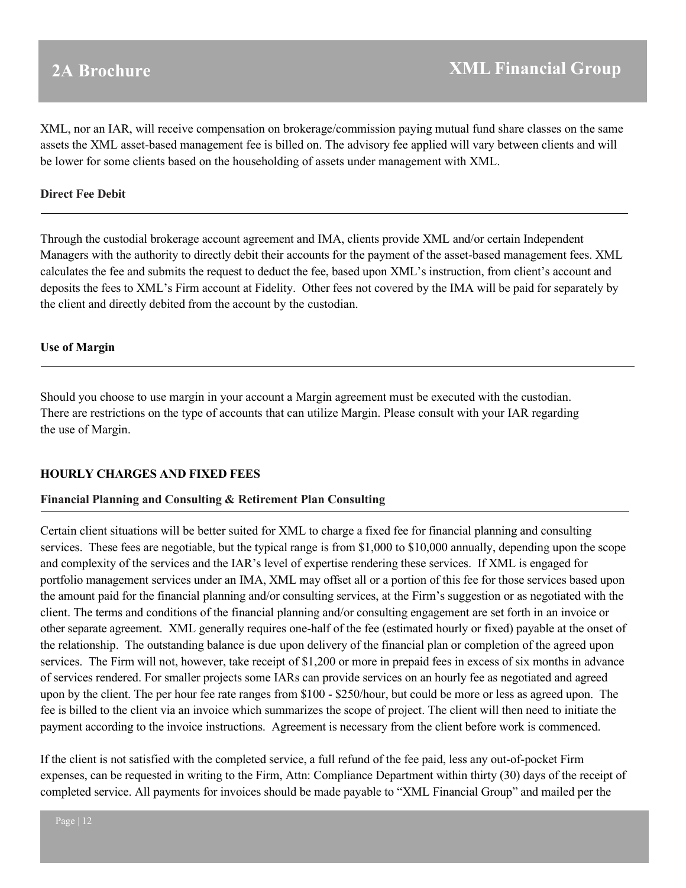XML, nor an IAR, will receive compensation on brokerage/commission paying mutual fund share classes on the same assets the XML asset-based management fee is billed on. The advisory fee applied will vary between clients and will be lower for some clients based on the householding of assets under management with XML.

#### **Direct Fee Debit**

Through the custodial brokerage account agreement and IMA, clients provide XML and/or certain Independent Managers with the authority to directly debit their accounts for the payment of the asset-based management fees. XML calculates the fee and submits the request to deduct the fee, based upon XML's instruction, from client's account and deposits the fees to XML's Firm account at Fidelity. Other fees not covered by the IMA will be paid for separately by the client and directly debited from the account by the custodian.

#### **Use of Margin**

Should you choose to use margin in your account a Margin agreement must be executed with the custodian. There are restrictions on the type of accounts that can utilize Margin. Please consult with your IAR regarding the use of Margin.

### **HOURLY CHARGES AND FIXED FEES**

#### **Financial Planning and Consulting & Retirement Plan Consulting**

Certain client situations will be better suited for XML to charge a fixed fee for financial planning and consulting services. These fees are negotiable, but the typical range is from \$1,000 to \$10,000 annually, depending upon the scope and complexity of the services and the IAR's level of expertise rendering these services. If XML is engaged for portfolio management services under an IMA, XML may offset all or a portion of this fee for those services based upon the amount paid for the financial planning and/or consulting services, at the Firm's suggestion or as negotiated with the client. The terms and conditions of the financial planning and/or consulting engagement are set forth in an invoice or other separate agreement. XML generally requires one-half of the fee (estimated hourly or fixed) payable at the onset of the relationship. The outstanding balance is due upon delivery of the financial plan or completion of the agreed upon services. The Firm will not, however, take receipt of \$1,200 or more in prepaid fees in excess of six months in advance of services rendered. For smaller projects some IARs can provide services on an hourly fee as negotiated and agreed upon by the client. The per hour fee rate ranges from \$100 - \$250/hour, but could be more or less as agreed upon. The fee is billed to the client via an invoice which summarizes the scope of project. The client will then need to initiate the payment according to the invoice instructions. Agreement is necessary from the client before work is commenced.

If the client is not satisfied with the completed service, a full refund of the fee paid, less any out-of-pocket Firm expenses, can be requested in writing to the Firm, Attn: Compliance Department within thirty (30) days of the receipt of completed service. All payments for invoices should be made payable to "XML Financial Group" and mailed per the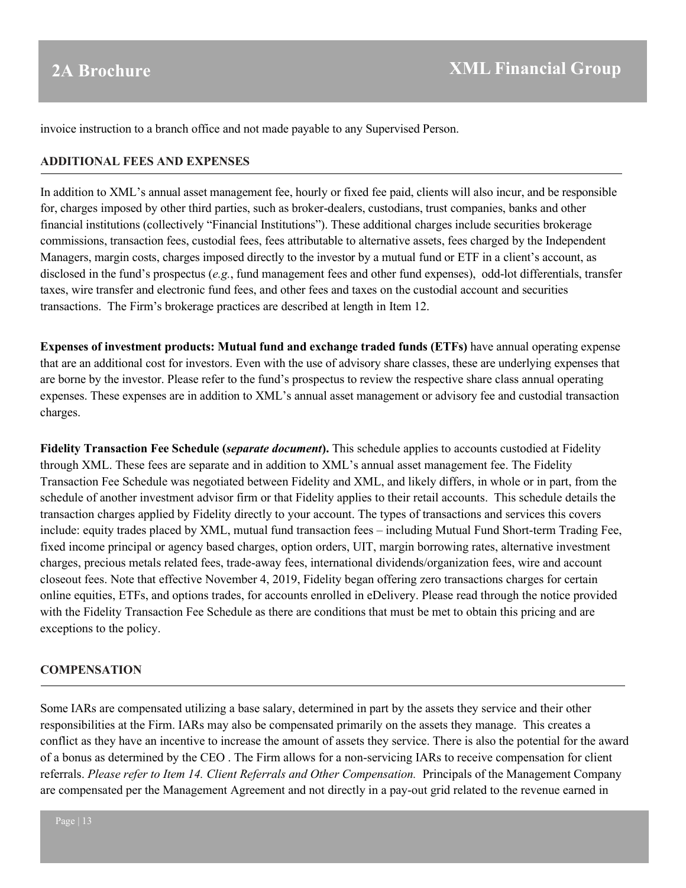invoice instruction to a branch office and not made payable to any Supervised Person.

#### **ADDITIONAL FEES AND EXPENSES**

In addition to XML's annual asset management fee, hourly or fixed fee paid, clients will also incur, and be responsible for, charges imposed by other third parties, such as broker-dealers, custodians, trust companies, banks and other financial institutions (collectively "Financial Institutions"). These additional charges include securities brokerage commissions, transaction fees, custodial fees, fees attributable to alternative assets, fees charged by the Independent Managers, margin costs, charges imposed directly to the investor by a mutual fund or ETF in a client's account, as disclosed in the fund's prospectus (*e.g.*, fund management fees and other fund expenses), odd-lot differentials, transfer taxes, wire transfer and electronic fund fees, and other fees and taxes on the custodial account and securities transactions. The Firm's brokerage practices are described at length in Item 12.

**Expenses of investment products: Mutual fund and exchange traded funds (ETFs)** have annual operating expense that are an additional cost for investors. Even with the use of advisory share classes, these are underlying expenses that are borne by the investor. Please refer to the fund's prospectus to review the respective share class annual operating expenses. These expenses are in addition to XML's annual asset management or advisory fee and custodial transaction charges.

**Fidelity Transaction Fee Schedule (***separate document***).** This schedule applies to accounts custodied at Fidelity through XML. These fees are separate and in addition to XML's annual asset management fee. The Fidelity Transaction Fee Schedule was negotiated between Fidelity and XML, and likely differs, in whole or in part, from the schedule of another investment advisor firm or that Fidelity applies to their retail accounts. This schedule details the transaction charges applied by Fidelity directly to your account. The types of transactions and services this covers include: equity trades placed by XML, mutual fund transaction fees – including Mutual Fund Short-term Trading Fee, fixed income principal or agency based charges, option orders, UIT, margin borrowing rates, alternative investment charges, precious metals related fees, trade-away fees, international dividends/organization fees, wire and account closeout fees. Note that effective November 4, 2019, Fidelity began offering zero transactions charges for certain online equities, ETFs, and options trades, for accounts enrolled in eDelivery. Please read through the notice provided with the Fidelity Transaction Fee Schedule as there are conditions that must be met to obtain this pricing and are exceptions to the policy.

#### **COMPENSATION**

Some IARs are compensated utilizing a base salary, determined in part by the assets they service and their other responsibilities at the Firm. IARs may also be compensated primarily on the assets they manage. This creates a conflict as they have an incentive to increase the amount of assets they service. There is also the potential for the award of a bonus as determined by the CEO . The Firm allows for a non-servicing IARs to receive compensation for client referrals. *Please refer to Item 14. Client Referrals and Other Compensation.* Principals of the Management Company are compensated per the Management Agreement and not directly in a pay-out grid related to the revenue earned in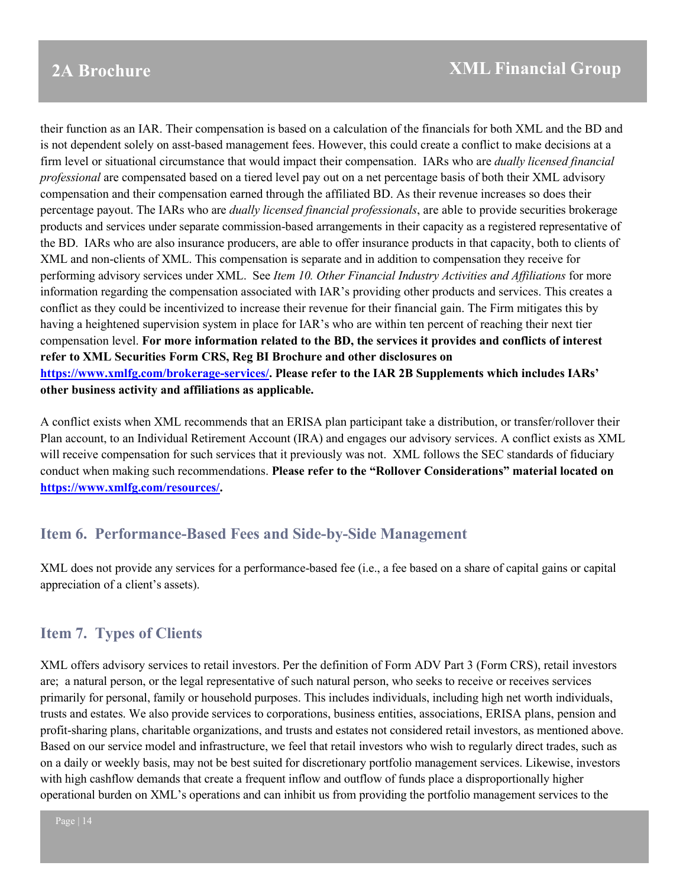their function as an IAR. Their compensation is based on a calculation of the financials for both XML and the BD and is not dependent solely on asst-based management fees. However, this could create a conflict to make decisions at a firm level or situational circumstance that would impact their compensation. IARs who are *dually licensed financial professional* are compensated based on a tiered level pay out on a net percentage basis of both their XML advisory compensation and their compensation earned through the affiliated BD. As their revenue increases so does their percentage payout. The IARs who are *dually licensed financial professionals*, are able to provide securities brokerage products and services under separate commission-based arrangements in their capacity as a registered representative of the BD. IARs who are also insurance producers, are able to offer insurance products in that capacity, both to clients of XML and non-clients of XML. This compensation is separate and in addition to compensation they receive for performing advisory services under XML. See *Item 10. Other Financial Industry Activities and Affiliations* for more information regarding the compensation associated with IAR's providing other products and services. This creates a conflict as they could be incentivized to increase their revenue for their financial gain. The Firm mitigates this by having a heightened supervision system in place for IAR's who are within ten percent of reaching their next tier compensation level. **For more information related to the BD, the services it provides and conflicts of interest refer to XML Securities Form CRS, Reg BI Brochure and other disclosures on [https://www.xmlfg.com/brokerage-services/.](https://www.xmlfg.com/brokerage-services/) Please refer to the IAR 2B Supplements which includes IARs' other business activity and affiliations as applicable.** 

A conflict exists when XML recommends that an ERISA plan participant take a distribution, or transfer/rollover their Plan account, to an Individual Retirement Account (IRA) and engages our advisory services. A conflict exists as XML will receive compensation for such services that it previously was not. XML follows the SEC standards of fiduciary conduct when making such recommendations. **Please refer to the "Rollover Considerations" material located on [https://www.xmlfg.com/resources/.](https://www.xmlfg.com/resources/)**

## <span id="page-13-0"></span>**Item 6. Performance-Based Fees and Side-by-Side Management**

XML does not provide any services for a performance-based fee (i.e., a fee based on a share of capital gains or capital appreciation of a client's assets).

## <span id="page-13-1"></span>**Item 7. Types of Clients**

XML offers advisory services to retail investors. Per the definition of Form ADV Part 3 (Form CRS), retail investors are; a natural person, or the legal representative of such natural person, who seeks to receive or receives services primarily for personal, family or household purposes. This includes individuals, including high net worth individuals, trusts and estates. We also provide services to corporations, business entities, associations, ERISA plans, pension and profit-sharing plans, charitable organizations, and trusts and estates not considered retail investors, as mentioned above. Based on our service model and infrastructure, we feel that retail investors who wish to regularly direct trades, such as on a daily or weekly basis, may not be best suited for discretionary portfolio management services. Likewise, investors with high cashflow demands that create a frequent inflow and outflow of funds place a disproportionally higher operational burden on XML's operations and can inhibit us from providing the portfolio management services to the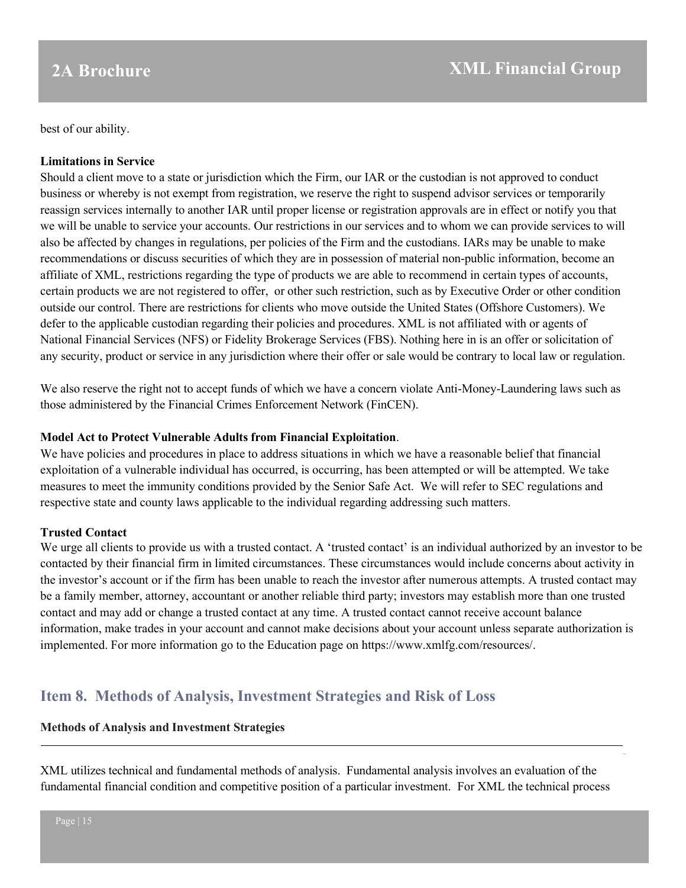best of our ability.

### **Limitations in Service**

Should a client move to a state or jurisdiction which the Firm, our IAR or the custodian is not approved to conduct business or whereby is not exempt from registration, we reserve the right to suspend advisor services or temporarily reassign services internally to another IAR until proper license or registration approvals are in effect or notify you that we will be unable to service your accounts. Our restrictions in our services and to whom we can provide services to will also be affected by changes in regulations, per policies of the Firm and the custodians. IARs may be unable to make recommendations or discuss securities of which they are in possession of material non-public information, become an affiliate of XML, restrictions regarding the type of products we are able to recommend in certain types of accounts, certain products we are not registered to offer, or other such restriction, such as by Executive Order or other condition outside our control. There are restrictions for clients who move outside the United States (Offshore Customers). We defer to the applicable custodian regarding their policies and procedures. XML is not affiliated with or agents of National Financial Services (NFS) or Fidelity Brokerage Services (FBS). Nothing here in is an offer or solicitation of any security, product or service in any jurisdiction where their offer or sale would be contrary to local law or regulation.

We also reserve the right not to accept funds of which we have a concern violate Anti-Money-Laundering laws such as those administered by the Financial Crimes Enforcement Network (FinCEN).

#### **Model Act to Protect Vulnerable Adults from Financial Exploitation**.

We have policies and procedures in place to address situations in which we have a reasonable belief that financial exploitation of a vulnerable individual has occurred, is occurring, has been attempted or will be attempted. We take measures to meet the immunity conditions provided by the Senior Safe Act. We will refer to SEC regulations and respective state and county laws applicable to the individual regarding addressing such matters.

### **Trusted Contact**

We urge all clients to provide us with a trusted contact. A 'trusted contact' is an individual authorized by an investor to be contacted by their financial firm in limited circumstances. These circumstances would include concerns about activity in the investor's account or if the firm has been unable to reach the investor after numerous attempts. A trusted contact may be a family member, attorney, accountant or another reliable third party; investors may establish more than one trusted contact and may add or change a trusted contact at any time. A trusted contact cannot receive account balance information, make trades in your account and cannot make decisions about your account unless separate authorization is implemented. For more information go to the Education page on https://www.xmlfg.com/resources/.

## <span id="page-14-0"></span>**Item 8. Methods of Analysis, Investment Strategies and Risk of Loss**

#### **Methods of Analysis and Investment Strategies**

XML utilizes technical and fundamental methods of analysis. Fundamental analysis involves an evaluation of the fundamental financial condition and competitive position of a particular investment. For XML the technical process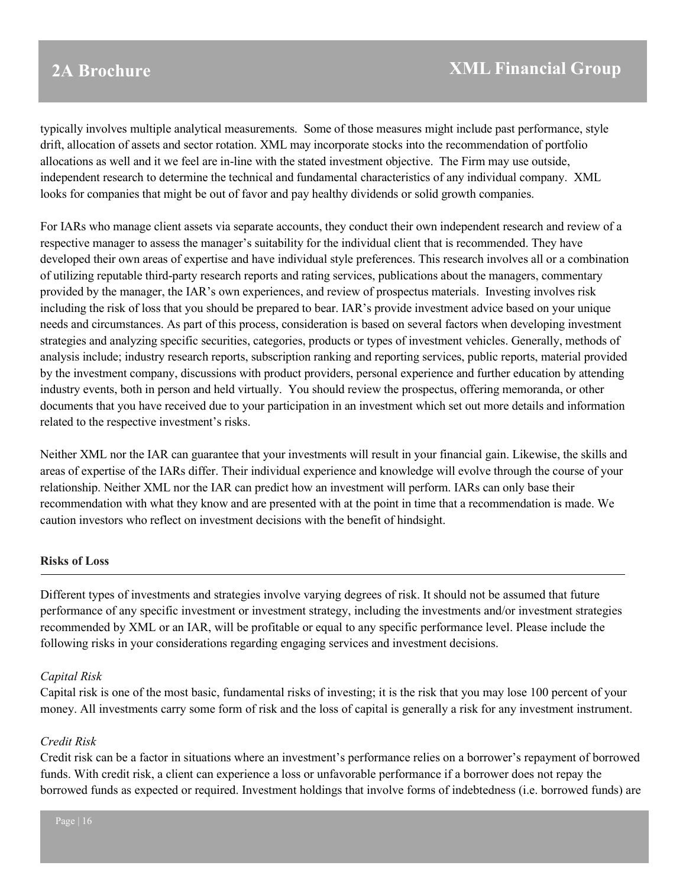typically involves multiple analytical measurements. Some of those measures might include past performance, style drift, allocation of assets and sector rotation. XML may incorporate stocks into the recommendation of portfolio allocations as well and it we feel are in-line with the stated investment objective. The Firm may use outside, independent research to determine the technical and fundamental characteristics of any individual company. XML looks for companies that might be out of favor and pay healthy dividends or solid growth companies.

For IARs who manage client assets via separate accounts, they conduct their own independent research and review of a respective manager to assess the manager's suitability for the individual client that is recommended. They have developed their own areas of expertise and have individual style preferences. This research involves all or a combination of utilizing reputable third-party research reports and rating services, publications about the managers, commentary provided by the manager, the IAR's own experiences, and review of prospectus materials. Investing involves risk including the risk of loss that you should be prepared to bear. IAR's provide investment advice based on your unique needs and circumstances. As part of this process, consideration is based on several factors when developing investment strategies and analyzing specific securities, categories, products or types of investment vehicles. Generally, methods of analysis include; industry research reports, subscription ranking and reporting services, public reports, material provided by the investment company, discussions with product providers, personal experience and further education by attending industry events, both in person and held virtually. You should review the prospectus, offering memoranda, or other documents that you have received due to your participation in an investment which set out more details and information related to the respective investment's risks.

Neither XML nor the IAR can guarantee that your investments will result in your financial gain. Likewise, the skills and areas of expertise of the IARs differ. Their individual experience and knowledge will evolve through the course of your relationship. Neither XML nor the IAR can predict how an investment will perform. IARs can only base their recommendation with what they know and are presented with at the point in time that a recommendation is made. We caution investors who reflect on investment decisions with the benefit of hindsight.

#### **Risks of Loss**

Different types of investments and strategies involve varying degrees of risk. It should not be assumed that future performance of any specific investment or investment strategy, including the investments and/or investment strategies recommended by XML or an IAR, will be profitable or equal to any specific performance level. Please include the following risks in your considerations regarding engaging services and investment decisions.

#### *Capital Risk*

Capital risk is one of the most basic, fundamental risks of investing; it is the risk that you may lose 100 percent of your money. All investments carry some form of risk and the loss of capital is generally a risk for any investment instrument.

#### *Credit Risk*

Credit risk can be a factor in situations where an investment's performance relies on a borrower's repayment of borrowed funds. With credit risk, a client can experience a loss or unfavorable performance if a borrower does not repay the borrowed funds as expected or required. Investment holdings that involve forms of indebtedness (i.e. borrowed funds) are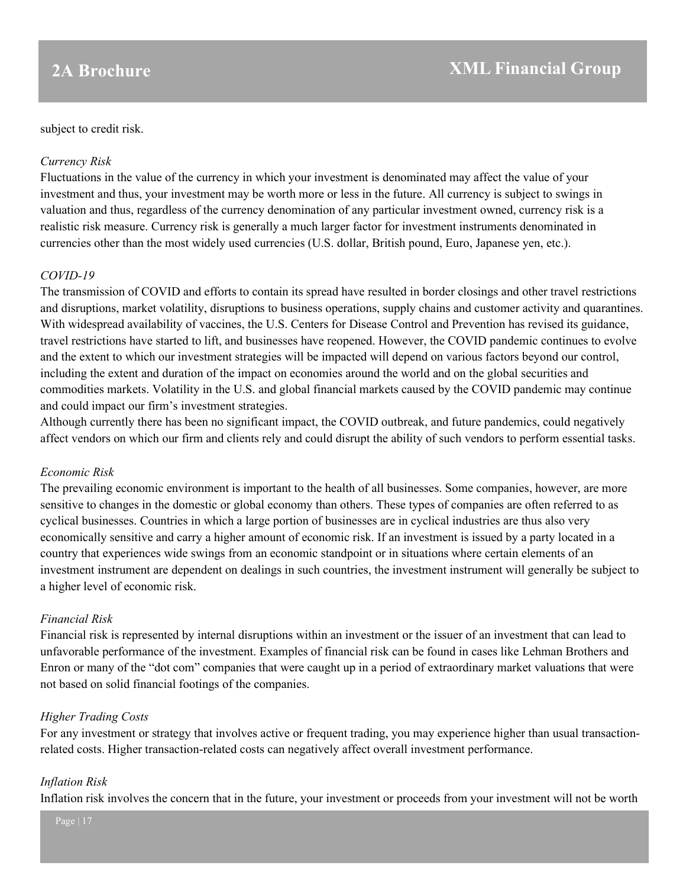### subject to credit risk.

### *Currency Risk*

Fluctuations in the value of the currency in which your investment is denominated may affect the value of your investment and thus, your investment may be worth more or less in the future. All currency is subject to swings in valuation and thus, regardless of the currency denomination of any particular investment owned, currency risk is a realistic risk measure. Currency risk is generally a much larger factor for investment instruments denominated in currencies other than the most widely used currencies (U.S. dollar, British pound, Euro, Japanese yen, etc.).

### *COVID-19*

The transmission of COVID and efforts to contain its spread have resulted in border closings and other travel restrictions and disruptions, market volatility, disruptions to business operations, supply chains and customer activity and quarantines. With widespread availability of vaccines, the U.S. Centers for Disease Control and Prevention has revised its guidance, travel restrictions have started to lift, and businesses have reopened. However, the COVID pandemic continues to evolve and the extent to which our investment strategies will be impacted will depend on various factors beyond our control, including the extent and duration of the impact on economies around the world and on the global securities and commodities markets. Volatility in the U.S. and global financial markets caused by the COVID pandemic may continue and could impact our firm's investment strategies.

Although currently there has been no significant impact, the COVID outbreak, and future pandemics, could negatively affect vendors on which our firm and clients rely and could disrupt the ability of such vendors to perform essential tasks.

### *Economic Risk*

The prevailing economic environment is important to the health of all businesses. Some companies, however, are more sensitive to changes in the domestic or global economy than others. These types of companies are often referred to as cyclical businesses. Countries in which a large portion of businesses are in cyclical industries are thus also very economically sensitive and carry a higher amount of economic risk. If an investment is issued by a party located in a country that experiences wide swings from an economic standpoint or in situations where certain elements of an investment instrument are dependent on dealings in such countries, the investment instrument will generally be subject to a higher level of economic risk.

### *Financial Risk*

Financial risk is represented by internal disruptions within an investment or the issuer of an investment that can lead to unfavorable performance of the investment. Examples of financial risk can be found in cases like Lehman Brothers and Enron or many of the "dot com" companies that were caught up in a period of extraordinary market valuations that were not based on solid financial footings of the companies.

### *Higher Trading Costs*

For any investment or strategy that involves active or frequent trading, you may experience higher than usual transactionrelated costs. Higher transaction-related costs can negatively affect overall investment performance.

#### *Inflation Risk*

Inflation risk involves the concern that in the future, your investment or proceeds from your investment will not be worth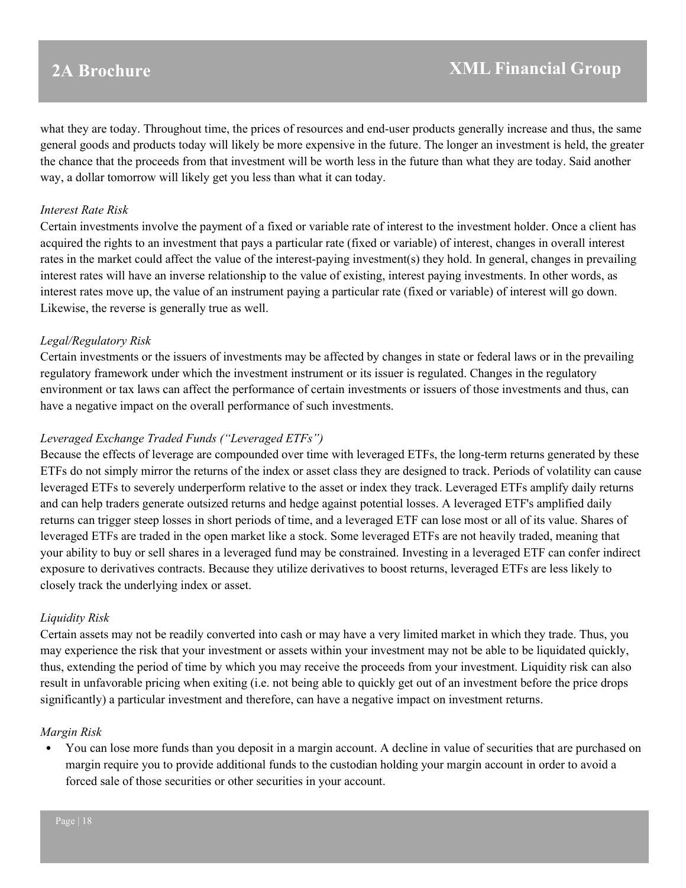what they are today. Throughout time, the prices of resources and end-user products generally increase and thus, the same general goods and products today will likely be more expensive in the future. The longer an investment is held, the greater the chance that the proceeds from that investment will be worth less in the future than what they are today. Said another way, a dollar tomorrow will likely get you less than what it can today.

#### *Interest Rate Risk*

Certain investments involve the payment of a fixed or variable rate of interest to the investment holder. Once a client has acquired the rights to an investment that pays a particular rate (fixed or variable) of interest, changes in overall interest rates in the market could affect the value of the interest-paying investment(s) they hold. In general, changes in prevailing interest rates will have an inverse relationship to the value of existing, interest paying investments. In other words, as interest rates move up, the value of an instrument paying a particular rate (fixed or variable) of interest will go down. Likewise, the reverse is generally true as well.

#### *Legal/Regulatory Risk*

Certain investments or the issuers of investments may be affected by changes in state or federal laws or in the prevailing regulatory framework under which the investment instrument or its issuer is regulated. Changes in the regulatory environment or tax laws can affect the performance of certain investments or issuers of those investments and thus, can have a negative impact on the overall performance of such investments.

### *Leveraged Exchange Traded Funds ("Leveraged ETFs")*

Because the effects of leverage are compounded over time with leveraged ETFs, the long-term returns generated by these ETFs do not simply mirror the returns of the index or asset class they are designed to track. Periods of volatility can cause leveraged ETFs to severely underperform relative to the asset or index they track. Leveraged ETFs amplify daily returns and can help traders generate outsized returns and hedge against potential losses. A leveraged ETF's amplified daily returns can trigger steep losses in short periods of time, and a leveraged ETF can lose most or all of its value. Shares of leveraged ETFs are traded in the open market like a stock. Some leveraged ETFs are not heavily traded, meaning that your ability to buy or sell shares in a leveraged fund may be constrained. Investing in a leveraged ETF can confer indirect exposure to derivatives contracts. Because they utilize derivatives to boost returns, leveraged ETFs are less likely to closely track the underlying index or asset.

#### *Liquidity Risk*

Certain assets may not be readily converted into cash or may have a very limited market in which they trade. Thus, you may experience the risk that your investment or assets within your investment may not be able to be liquidated quickly, thus, extending the period of time by which you may receive the proceeds from your investment. Liquidity risk can also result in unfavorable pricing when exiting (i.e. not being able to quickly get out of an investment before the price drops significantly) a particular investment and therefore, can have a negative impact on investment returns.

#### *Margin Risk*

• You can lose more funds than you deposit in a margin account. A decline in value of securities that are purchased on margin require you to provide additional funds to the custodian holding your margin account in order to avoid a forced sale of those securities or other securities in your account.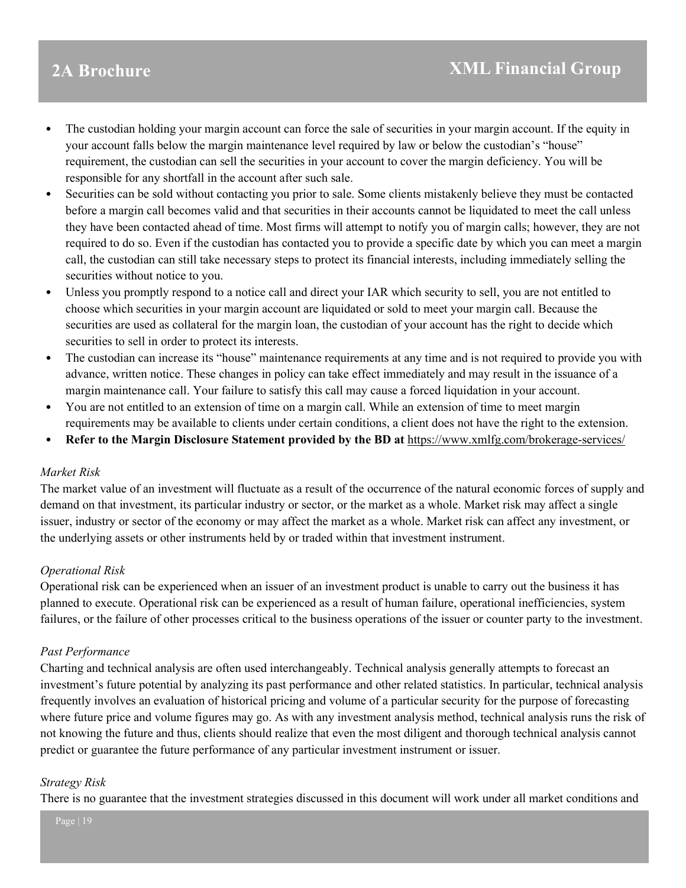- The custodian holding your margin account can force the sale of securities in your margin account. If the equity in your account falls below the margin maintenance level required by law or below the custodian's "house" requirement, the custodian can sell the securities in your account to cover the margin deficiency. You will be responsible for any shortfall in the account after such sale.
- Securities can be sold without contacting you prior to sale. Some clients mistakenly believe they must be contacted before a margin call becomes valid and that securities in their accounts cannot be liquidated to meet the call unless they have been contacted ahead of time. Most firms will attempt to notify you of margin calls; however, they are not required to do so. Even if the custodian has contacted you to provide a specific date by which you can meet a margin call, the custodian can still take necessary steps to protect its financial interests, including immediately selling the securities without notice to you.
- Unless you promptly respond to a notice call and direct your IAR which security to sell, you are not entitled to choose which securities in your margin account are liquidated or sold to meet your margin call. Because the securities are used as collateral for the margin loan, the custodian of your account has the right to decide which securities to sell in order to protect its interests.
- The custodian can increase its "house" maintenance requirements at any time and is not required to provide you with advance, written notice. These changes in policy can take effect immediately and may result in the issuance of a margin maintenance call. Your failure to satisfy this call may cause a forced liquidation in your account.
- You are not entitled to an extension of time on a margin call. While an extension of time to meet margin requirements may be available to clients under certain conditions, a client does not have the right to the extension.
- **Refer to the Margin Disclosure Statement provided by the BD at** <https://www.xmlfg.com/brokerage-services/>

#### *Market Risk*

The market value of an investment will fluctuate as a result of the occurrence of the natural economic forces of supply and demand on that investment, its particular industry or sector, or the market as a whole. Market risk may affect a single issuer, industry or sector of the economy or may affect the market as a whole. Market risk can affect any investment, or the underlying assets or other instruments held by or traded within that investment instrument.

### *Operational Risk*

Operational risk can be experienced when an issuer of an investment product is unable to carry out the business it has planned to execute. Operational risk can be experienced as a result of human failure, operational inefficiencies, system failures, or the failure of other processes critical to the business operations of the issuer or counter party to the investment.

#### *Past Performance*

Charting and technical analysis are often used interchangeably. Technical analysis generally attempts to forecast an investment's future potential by analyzing its past performance and other related statistics. In particular, technical analysis frequently involves an evaluation of historical pricing and volume of a particular security for the purpose of forecasting where future price and volume figures may go. As with any investment analysis method, technical analysis runs the risk of not knowing the future and thus, clients should realize that even the most diligent and thorough technical analysis cannot predict or guarantee the future performance of any particular investment instrument or issuer.

#### *Strategy Risk*

There is no guarantee that the investment strategies discussed in this document will work under all market conditions and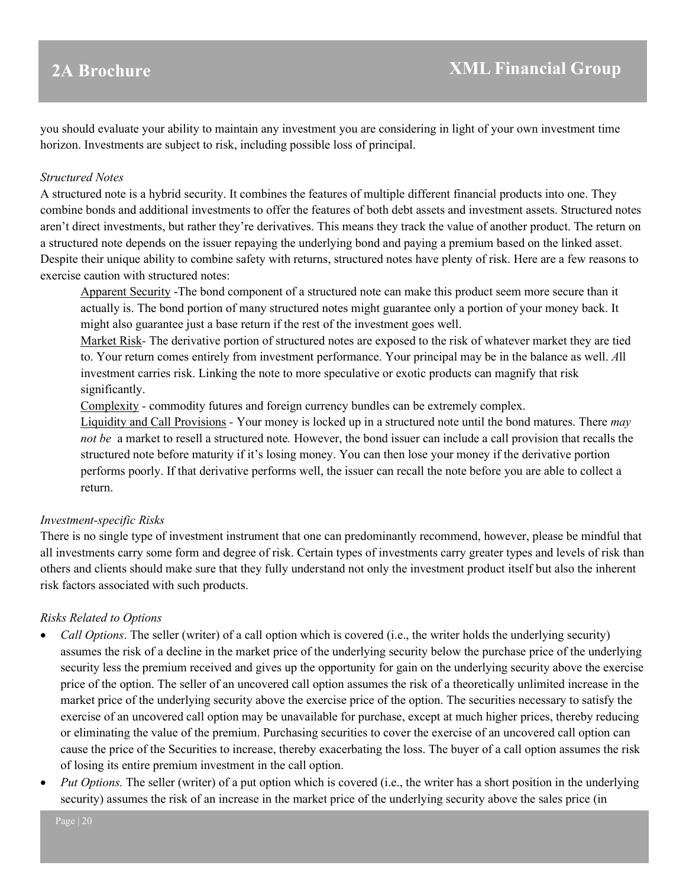you should evaluate your ability to maintain any investment you are considering in light of your own investment time horizon. Investments are subject to risk, including possible loss of principal.

#### *Structured Notes*

A structured note is a hybrid security. It combines the features of multiple different financial products into one. They combine bonds and additional investments to offer the features of both debt assets and investment assets. Structured notes aren't direct investments, but rather they're derivatives. This means they track the value of another product. The return on a structured note depends on the issuer repaying the underlying bond and paying a premium based on the linked asset. Despite their unique ability to combine safety with returns, structured notes have plenty of risk. Here are a few reasons to exercise caution with structured notes:

Apparent Security -The bond component of a structured note can make this product seem more secure than it actually is. The bond portion of many structured notes might guarantee only a portion of your money back. It might also guarantee just a base return if the rest of the investment goes well.

Market Risk*-* The derivative portion of structured notes are exposed to the risk of whatever market they are tied to. Your return comes entirely from investment performance. Your principal may be in the balance as well. *A*ll investment carries risk. Linking the note to more speculative or exotic products can magnify that risk significantly.

Complexity *-* commodity futures and foreign currency bundles can be extremely complex.

Liquidity and Call Provisions *-* Your money is locked up in a structured note until the bond matures. There *may not be* a market to resell a structured note*.* However, the bond issuer can include a call provision that recalls the structured note before maturity if it's losing money. You can then lose your money if the derivative portion performs poorly. If that derivative performs well, the issuer can recall the note before you are able to collect a return.

#### *Investment-specific Risks*

There is no single type of investment instrument that one can predominantly recommend, however, please be mindful that all investments carry some form and degree of risk. Certain types of investments carry greater types and levels of risk than others and clients should make sure that they fully understand not only the investment product itself but also the inherent risk factors associated with such products.

#### *Risks Related to Options*

- *Call Options*. The seller (writer) of a call option which is covered (i.e., the writer holds the underlying security) assumes the risk of a decline in the market price of the underlying security below the purchase price of the underlying security less the premium received and gives up the opportunity for gain on the underlying security above the exercise price of the option. The seller of an uncovered call option assumes the risk of a theoretically unlimited increase in the market price of the underlying security above the exercise price of the option. The securities necessary to satisfy the exercise of an uncovered call option may be unavailable for purchase, except at much higher prices, thereby reducing or eliminating the value of the premium. Purchasing securities to cover the exercise of an uncovered call option can cause the price of the Securities to increase, thereby exacerbating the loss. The buyer of a call option assumes the risk of losing its entire premium investment in the call option.
- *Put Options.* The seller (writer) of a put option which is covered (i.e., the writer has a short position in the underlying security) assumes the risk of an increase in the market price of the underlying security above the sales price (in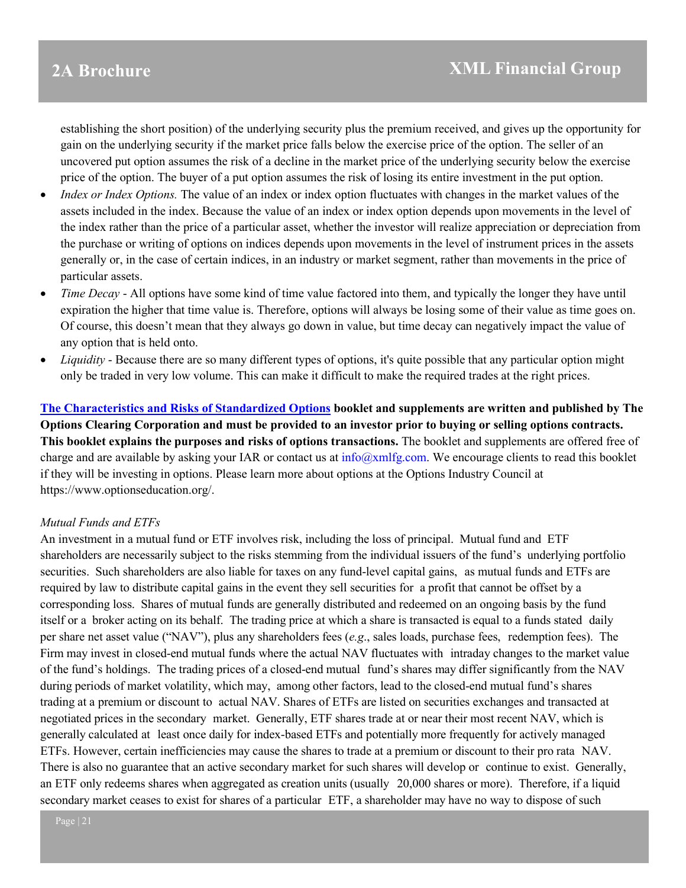establishing the short position) of the underlying security plus the premium received, and gives up the opportunity for gain on the underlying security if the market price falls below the exercise price of the option. The seller of an uncovered put option assumes the risk of a decline in the market price of the underlying security below the exercise price of the option. The buyer of a put option assumes the risk of losing its entire investment in the put option.

- *Index or Index Options.* The value of an index or index option fluctuates with changes in the market values of the assets included in the index. Because the value of an index or index option depends upon movements in the level of the index rather than the price of a particular asset, whether the investor will realize appreciation or depreciation from the purchase or writing of options on indices depends upon movements in the level of instrument prices in the assets generally or, in the case of certain indices, in an industry or market segment, rather than movements in the price of particular assets.
- *Time Decay* All options have some kind of time value factored into them, and typically the longer they have until expiration the higher that time value is. Therefore, options will always be losing some of their value as time goes on. Of course, this doesn't mean that they always go down in value, but time decay can negatively impact the value of any option that is held onto.
- *Liquidity* Because there are so many different types of options, it's quite possible that any particular option might only be traded in very low volume. This can make it difficult to make the required trades at the right prices.

**[The Characteristics and Risks of Standardized Options](https://www.theocc.com/Company-Information/Documents-and-Archives/Publications) booklet and supplements are written and published by The Options Clearing Corporation and must be provided to an investor prior to buying or selling options contracts. This booklet explains the purposes and risks of options transactions.** The booklet and supplements are offered free of charge and are available by asking your IAR or contact us at  $info(\alpha xm|fg.com)$ . We encourage clients to read this booklet if they will be investing in options. Please learn more about options at the Options Industry Council at https://www.optionseducation.org/.

### *Mutual Funds and ETFs*

An investment in a mutual fund or ETF involves risk, including the loss of principal. Mutual fund and ETF shareholders are necessarily subject to the risks stemming from the individual issuers of the fund's underlying portfolio securities. Such shareholders are also liable for taxes on any fund-level capital gains, as mutual funds and ETFs are required by law to distribute capital gains in the event they sell securities for a profit that cannot be offset by a corresponding loss. Shares of mutual funds are generally distributed and redeemed on an ongoing basis by the fund itself or a broker acting on its behalf. The trading price at which a share is transacted is equal to a funds stated daily per share net asset value ("NAV"), plus any shareholders fees (*e.g*., sales loads, purchase fees, redemption fees). The Firm may invest in closed-end mutual funds where the actual NAV fluctuates with intraday changes to the market value of the fund's holdings. The trading prices of a closed-end mutual fund's shares may differ significantly from the NAV during periods of market volatility, which may, among other factors, lead to the closed-end mutual fund's shares trading at a premium or discount to actual NAV. Shares of ETFs are listed on securities exchanges and transacted at negotiated prices in the secondary market. Generally, ETF shares trade at or near their most recent NAV, which is generally calculated at least once daily for index-based ETFs and potentially more frequently for actively managed ETFs. However, certain inefficiencies may cause the shares to trade at a premium or discount to their pro rata NAV. There is also no guarantee that an active secondary market for such shares will develop or continue to exist. Generally, an ETF only redeems shares when aggregated as creation units (usually 20,000 shares or more). Therefore, if a liquid secondary market ceases to exist for shares of a particular ETF, a shareholder may have no way to dispose of such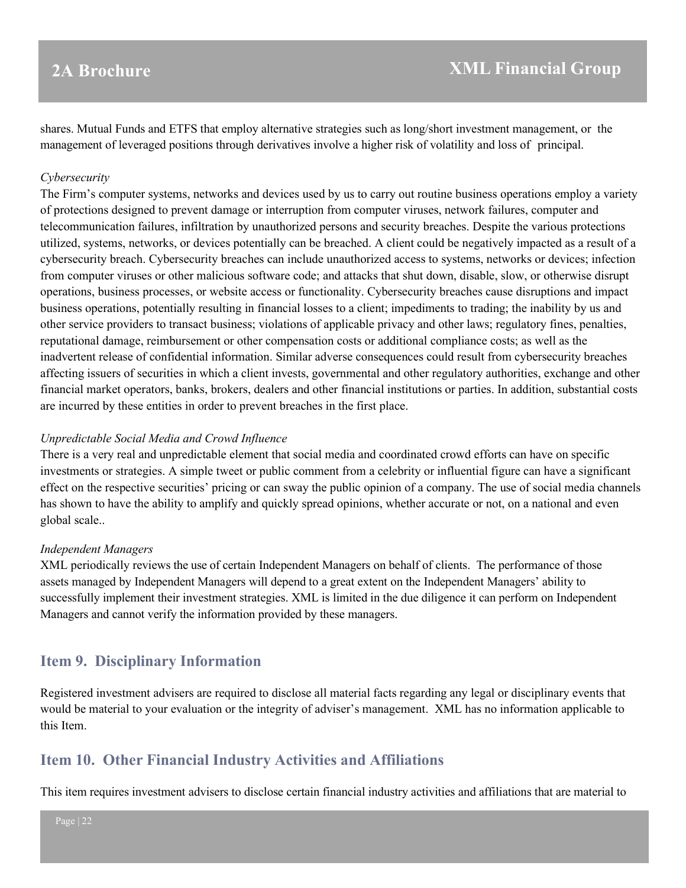shares. Mutual Funds and ETFS that employ alternative strategies such as long/short investment management, or the management of leveraged positions through derivatives involve a higher risk of volatility and loss of principal.

#### *Cybersecurity*

The Firm's computer systems, networks and devices used by us to carry out routine business operations employ a variety of protections designed to prevent damage or interruption from computer viruses, network failures, computer and telecommunication failures, infiltration by unauthorized persons and security breaches. Despite the various protections utilized, systems, networks, or devices potentially can be breached. A client could be negatively impacted as a result of a cybersecurity breach. Cybersecurity breaches can include unauthorized access to systems, networks or devices; infection from computer viruses or other malicious software code; and attacks that shut down, disable, slow, or otherwise disrupt operations, business processes, or website access or functionality. Cybersecurity breaches cause disruptions and impact business operations, potentially resulting in financial losses to a client; impediments to trading; the inability by us and other service providers to transact business; violations of applicable privacy and other laws; regulatory fines, penalties, reputational damage, reimbursement or other compensation costs or additional compliance costs; as well as the inadvertent release of confidential information. Similar adverse consequences could result from cybersecurity breaches affecting issuers of securities in which a client invests, governmental and other regulatory authorities, exchange and other financial market operators, banks, brokers, dealers and other financial institutions or parties. In addition, substantial costs are incurred by these entities in order to prevent breaches in the first place.

#### *Unpredictable Social Media and Crowd Influence*

There is a very real and unpredictable element that social media and coordinated crowd efforts can have on specific investments or strategies. A simple tweet or public comment from a celebrity or influential figure can have a significant effect on the respective securities' pricing or can sway the public opinion of a company. The use of social media channels has shown to have the ability to amplify and quickly spread opinions, whether accurate or not, on a national and even global scale..

#### *Independent Managers*

XML periodically reviews the use of certain Independent Managers on behalf of clients. The performance of those assets managed by Independent Managers will depend to a great extent on the Independent Managers' ability to successfully implement their investment strategies. XML is limited in the due diligence it can perform on Independent Managers and cannot verify the information provided by these managers.

## <span id="page-21-0"></span>**Item 9. Disciplinary Information**

Registered investment advisers are required to disclose all material facts regarding any legal or disciplinary events that would be material to your evaluation or the integrity of adviser's management. XML has no information applicable to this Item.

## <span id="page-21-1"></span>**Item 10. Other Financial Industry Activities and Affiliations**

This item requires investment advisers to disclose certain financial industry activities and affiliations that are material to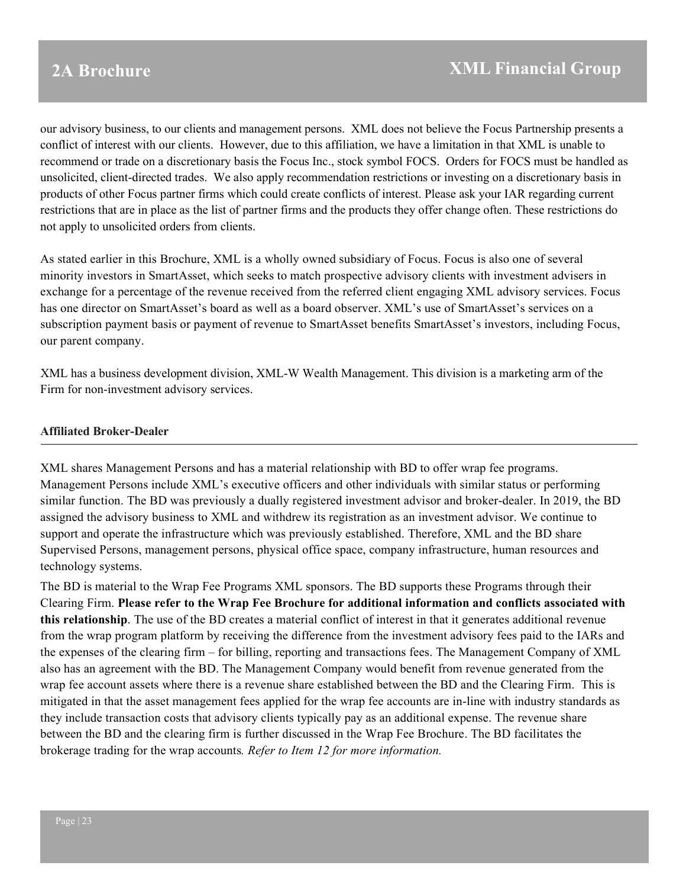our advisory business, to our clients and management persons. XML does not believe the Focus Partnership presents a conflict of interest with our clients. However, due to this affiliation, we have a limitation in that XML is unable to recommend or trade on a discretionary basis the Focus Inc., stock symbol FOCS. Orders for FOCS must be handled as unsolicited, client-directed trades. We also apply recommendation restrictions or investing on a discretionary basis in products of other Focus partner firms which could create conflicts of interest. Please ask your IAR regarding current restrictions that are in place as the list of partner firms and the products they offer change often. These restrictions do not apply to unsolicited orders from clients.

As stated earlier in this Brochure, XML is a wholly owned subsidiary of Focus. Focus is also one of several minority investors in SmartAsset, which seeks to match prospective advisory clients with investment advisers in exchange for a percentage of the revenue received from the referred client engaging XML advisory services. Focus has one director on SmartAsset's board as well as a board observer. XML's use of SmartAsset's services on a subscription payment basis or payment of revenue to SmartAsset benefits SmartAsset's investors, including Focus, our parent company.

XML has a business development division, XML-W Wealth Management. This division is a marketing arm of the Firm for non-investment advisory services.

#### **Affiliated Broker-Dealer**

XML shares Management Persons and has a material relationship with BD to offer wrap fee programs. Management Persons include XML's executive officers and other individuals with similar status or performing similar function. The BD was previously a dually registered investment advisor and broker-dealer. In 2019, the BD assigned the advisory business to XML and withdrew its registration as an investment advisor. We continue to support and operate the infrastructure which was previously established. Therefore, XML and the BD share Supervised Persons, management persons, physical office space, company infrastructure, human resources and technology systems.

The BD is material to the Wrap Fee Programs XML sponsors. The BD supports these Programs through their Clearing Firm. **Please refer to the Wrap Fee Brochure for additional information and conflicts associated with this relationship**. The use of the BD creates a material conflict of interest in that it generates additional revenue from the wrap program platform by receiving the difference from the investment advisory fees paid to the IARs and the expenses of the clearing firm – for billing, reporting and transactions fees. The Management Company of XML also has an agreement with the BD. The Management Company would benefit from revenue generated from the wrap fee account assets where there is a revenue share established between the BD and the Clearing Firm. This is mitigated in that the asset management fees applied for the wrap fee accounts are in-line with industry standards as they include transaction costs that advisory clients typically pay as an additional expense. The revenue share between the BD and the clearing firm is further discussed in the Wrap Fee Brochure. The BD facilitates the brokerage trading for the wrap accounts*. Refer to Item 12 for more information.*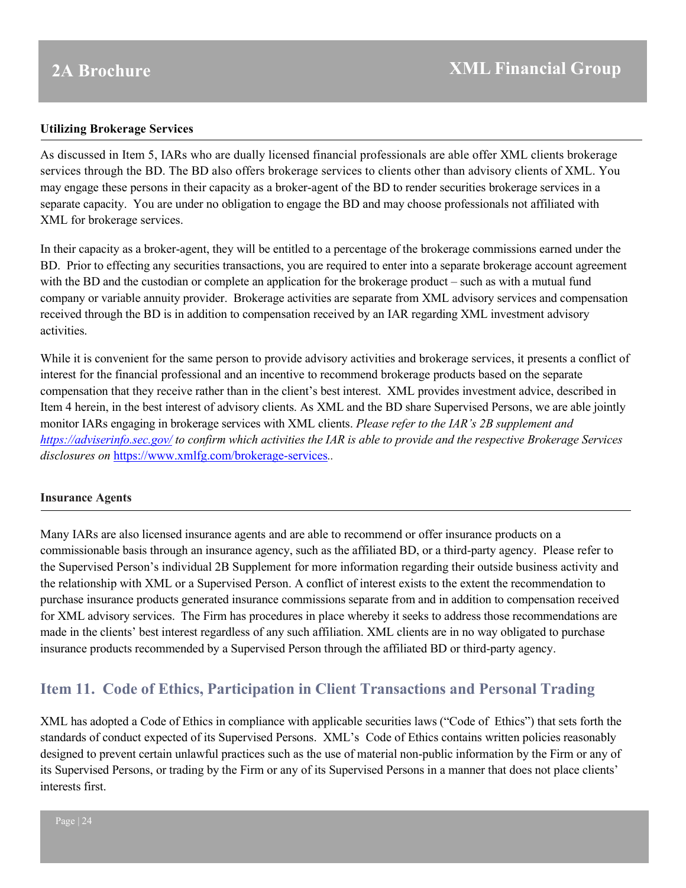#### **Utilizing Brokerage Services**

As discussed in Item 5, IARs who are dually licensed financial professionals are able offer XML clients brokerage services through the BD. The BD also offers brokerage services to clients other than advisory clients of XML. You may engage these persons in their capacity as a broker-agent of the BD to render securities brokerage services in a separate capacity. You are under no obligation to engage the BD and may choose professionals not affiliated with XML for brokerage services.

In their capacity as a broker-agent, they will be entitled to a percentage of the brokerage commissions earned under the BD. Prior to effecting any securities transactions, you are required to enter into a separate brokerage account agreement with the BD and the custodian or complete an application for the brokerage product – such as with a mutual fund company or variable annuity provider. Brokerage activities are separate from XML advisory services and compensation received through the BD is in addition to compensation received by an IAR regarding XML investment advisory activities.

While it is convenient for the same person to provide advisory activities and brokerage services, it presents a conflict of interest for the financial professional and an incentive to recommend brokerage products based on the separate compensation that they receive rather than in the client's best interest. XML provides investment advice, described in Item 4 herein, in the best interest of advisory clients. As XML and the BD share Supervised Persons, we are able jointly monitor IARs engaging in brokerage services with XML clients. *Please refer to the IAR's 2B supplement and <https://adviserinfo.sec.gov/> to confirm which activities the IAR is able to provide and the respective Brokerage Services disclosures on* <https://www.xmlfg.com/brokerage-services>*..* 

#### **Insurance Agents**

Many IARs are also licensed insurance agents and are able to recommend or offer insurance products on a commissionable basis through an insurance agency, such as the affiliated BD, or a third-party agency. Please refer to the Supervised Person's individual 2B Supplement for more information regarding their outside business activity and the relationship with XML or a Supervised Person. A conflict of interest exists to the extent the recommendation to purchase insurance products generated insurance commissions separate from and in addition to compensation received for XML advisory services. The Firm has procedures in place whereby it seeks to address those recommendations are made in the clients' best interest regardless of any such affiliation. XML clients are in no way obligated to purchase insurance products recommended by a Supervised Person through the affiliated BD or third-party agency.

## <span id="page-23-0"></span>**Item 11. Code of Ethics, Participation in Client Transactions and Personal Trading**

XML has adopted a Code of Ethics in compliance with applicable securities laws ("Code of Ethics") that sets forth the standards of conduct expected of its Supervised Persons. XML's Code of Ethics contains written policies reasonably designed to prevent certain unlawful practices such as the use of material non-public information by the Firm or any of its Supervised Persons, or trading by the Firm or any of its Supervised Persons in a manner that does not place clients' interests first.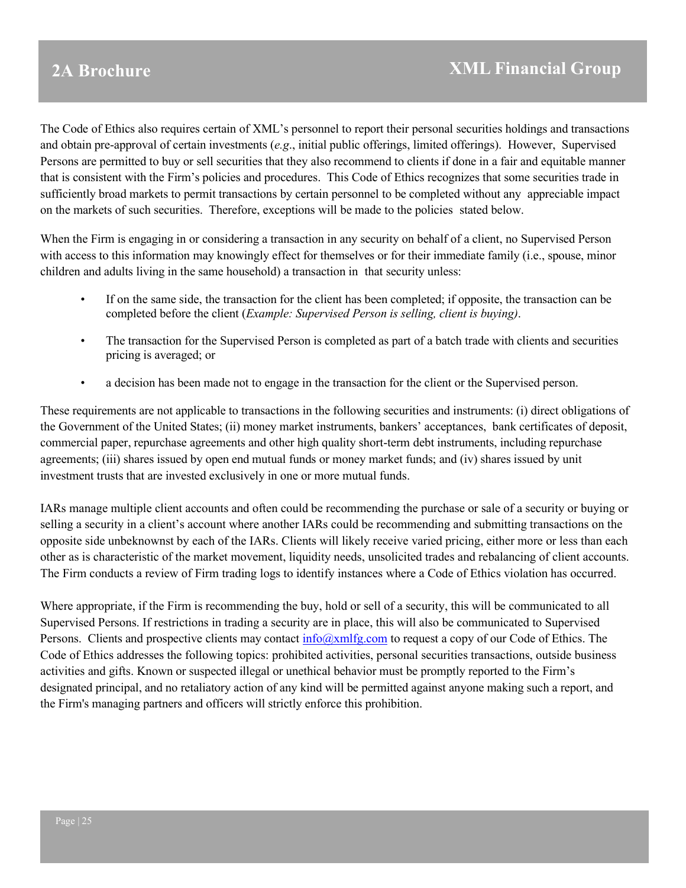The Code of Ethics also requires certain of XML's personnel to report their personal securities holdings and transactions and obtain pre-approval of certain investments (*e.g*., initial public offerings, limited offerings). However, Supervised Persons are permitted to buy or sell securities that they also recommend to clients if done in a fair and equitable manner that is consistent with the Firm's policies and procedures. This Code of Ethics recognizes that some securities trade in sufficiently broad markets to permit transactions by certain personnel to be completed without any appreciable impact on the markets of such securities. Therefore, exceptions will be made to the policies stated below.

When the Firm is engaging in or considering a transaction in any security on behalf of a client, no Supervised Person with access to this information may knowingly effect for themselves or for their immediate family (i.e., spouse, minor children and adults living in the same household) a transaction in that security unless:

- If on the same side, the transaction for the client has been completed; if opposite, the transaction can be completed before the client (*Example: Supervised Person is selling, client is buying)*.
- The transaction for the Supervised Person is completed as part of a batch trade with clients and securities pricing is averaged; or
- a decision has been made not to engage in the transaction for the client or the Supervised person.

These requirements are not applicable to transactions in the following securities and instruments: (i) direct obligations of the Government of the United States; (ii) money market instruments, bankers' acceptances, bank certificates of deposit, commercial paper, repurchase agreements and other high quality short-term debt instruments, including repurchase agreements; (iii) shares issued by open end mutual funds or money market funds; and (iv) shares issued by unit investment trusts that are invested exclusively in one or more mutual funds.

IARs manage multiple client accounts and often could be recommending the purchase or sale of a security or buying or selling a security in a client's account where another IARs could be recommending and submitting transactions on the opposite side unbeknownst by each of the IARs. Clients will likely receive varied pricing, either more or less than each other as is characteristic of the market movement, liquidity needs, unsolicited trades and rebalancing of client accounts. The Firm conducts a review of Firm trading logs to identify instances where a Code of Ethics violation has occurred.

<span id="page-24-0"></span>Where appropriate, if the Firm is recommending the buy, hold or sell of a security, this will be communicated to all Supervised Persons. If restrictions in trading a security are in place, this will also be communicated to Supervised Persons. Clients and prospective clients may contact  $\frac{info(\partial xm1fg.com}{info(\partial xm1fg.com})$  to request a copy of our Code of Ethics. The Code of Ethics addresses the following topics: prohibited activities, personal securities transactions, outside business activities and gifts. Known or suspected illegal or unethical behavior must be promptly reported to the Firm's designated principal, and no retaliatory action of any kind will be permitted against anyone making such a report, and the Firm's managing partners and officers will strictly enforce this prohibition.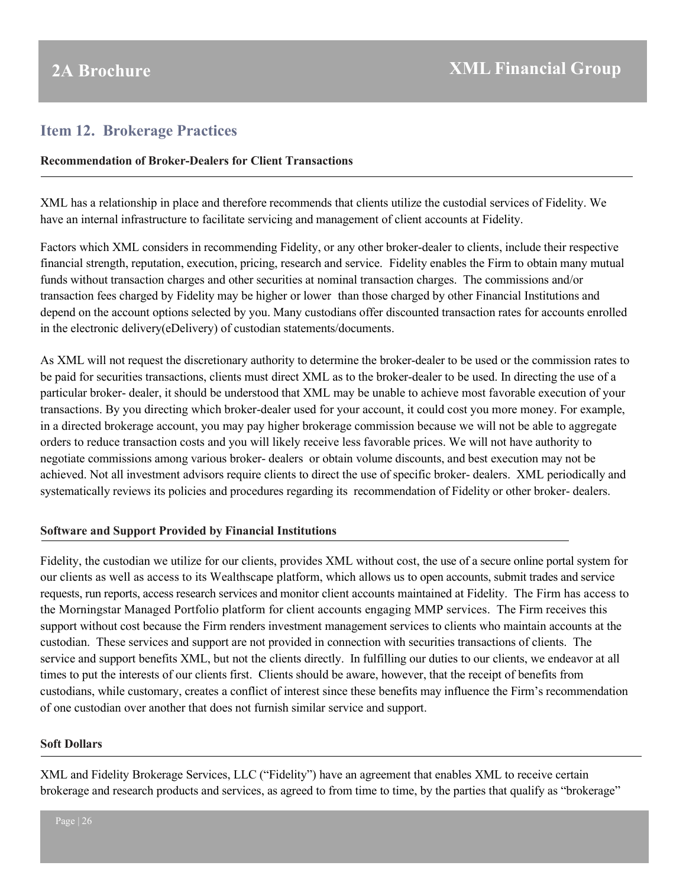## **Item 12. Brokerage Practices**

#### **Recommendation of Broker-Dealers for Client Transactions**

XML has a relationship in place and therefore recommends that clients utilize the custodial services of Fidelity. We have an internal infrastructure to facilitate servicing and management of client accounts at Fidelity.

Factors which XML considers in recommending Fidelity, or any other broker-dealer to clients, include their respective financial strength, reputation, execution, pricing, research and service. Fidelity enables the Firm to obtain many mutual funds without transaction charges and other securities at nominal transaction charges. The commissions and/or transaction fees charged by Fidelity may be higher or lower than those charged by other Financial Institutions and depend on the account options selected by you. Many custodians offer discounted transaction rates for accounts enrolled in the electronic delivery(eDelivery) of custodian statements/documents.

As XML will not request the discretionary authority to determine the broker-dealer to be used or the commission rates to be paid for securities transactions, clients must direct XML as to the broker-dealer to be used. In directing the use of a particular broker- dealer, it should be understood that XML may be unable to achieve most favorable execution of your transactions. By you directing which broker-dealer used for your account, it could cost you more money. For example, in a directed brokerage account, you may pay higher brokerage commission because we will not be able to aggregate orders to reduce transaction costs and you will likely receive less favorable prices. We will not have authority to negotiate commissions among various broker- dealers or obtain volume discounts, and best execution may not be achieved. Not all investment advisors require clients to direct the use of specific broker- dealers. XML periodically and systematically reviews its policies and procedures regarding its recommendation of Fidelity or other broker- dealers.

### **Software and Support Provided by Financial Institutions**

Fidelity, the custodian we utilize for our clients, provides XML without cost, the use of a secure online portal system for our clients as well as access to its Wealthscape platform, which allows us to open accounts, submit trades and service requests, run reports, access research services and monitor client accounts maintained at Fidelity. The Firm has access to the Morningstar Managed Portfolio platform for client accounts engaging MMP services. The Firm receives this support without cost because the Firm renders investment management services to clients who maintain accounts at the custodian. These services and support are not provided in connection with securities transactions of clients. The service and support benefits XML, but not the clients directly. In fulfilling our duties to our clients, we endeavor at all times to put the interests of our clients first. Clients should be aware, however, that the receipt of benefits from custodians, while customary, creates a conflict of interest since these benefits may influence the Firm's recommendation of one custodian over another that does not furnish similar service and support.

#### **Soft Dollars**

XML and Fidelity Brokerage Services, LLC ("Fidelity") have an agreement that enables XML to receive certain brokerage and research products and services, as agreed to from time to time, by the parties that qualify as "brokerage"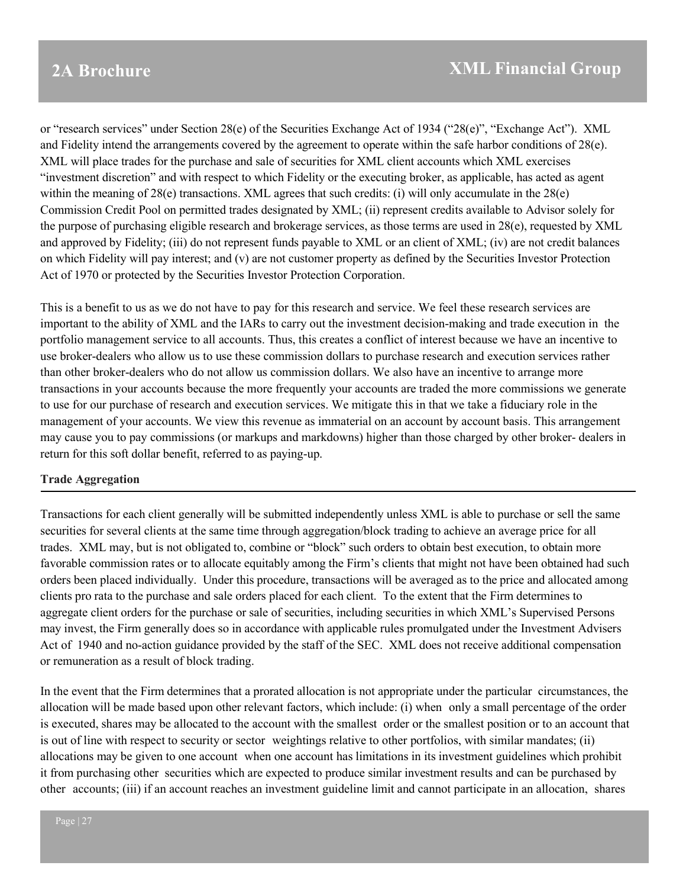or "research services" under Section 28(e) of the Securities Exchange Act of 1934 ("28(e)", "Exchange Act"). XML and Fidelity intend the arrangements covered by the agreement to operate within the safe harbor conditions of 28(e). XML will place trades for the purchase and sale of securities for XML client accounts which XML exercises "investment discretion" and with respect to which Fidelity or the executing broker, as applicable, has acted as agent within the meaning of 28(e) transactions. XML agrees that such credits: (i) will only accumulate in the 28(e) Commission Credit Pool on permitted trades designated by XML; (ii) represent credits available to Advisor solely for the purpose of purchasing eligible research and brokerage services, as those terms are used in 28(e), requested by XML and approved by Fidelity; (iii) do not represent funds payable to XML or an client of XML; (iv) are not credit balances on which Fidelity will pay interest; and (v) are not customer property as defined by the Securities Investor Protection Act of 1970 or protected by the Securities Investor Protection Corporation.

This is a benefit to us as we do not have to pay for this research and service. We feel these research services are important to the ability of XML and the IARs to carry out the investment decision-making and trade execution in the portfolio management service to all accounts. Thus, this creates a conflict of interest because we have an incentive to use broker-dealers who allow us to use these commission dollars to purchase research and execution services rather than other broker-dealers who do not allow us commission dollars. We also have an incentive to arrange more transactions in your accounts because the more frequently your accounts are traded the more commissions we generate to use for our purchase of research and execution services. We mitigate this in that we take a fiduciary role in the management of your accounts. We view this revenue as immaterial on an account by account basis. This arrangement may cause you to pay commissions (or markups and markdowns) higher than those charged by other broker- dealers in return for this soft dollar benefit, referred to as paying-up.

### **Trade Aggregation**

Transactions for each client generally will be submitted independently unless XML is able to purchase or sell the same securities for several clients at the same time through aggregation/block trading to achieve an average price for all trades. XML may, but is not obligated to, combine or "block" such orders to obtain best execution, to obtain more favorable commission rates or to allocate equitably among the Firm's clients that might not have been obtained had such orders been placed individually. Under this procedure, transactions will be averaged as to the price and allocated among clients pro rata to the purchase and sale orders placed for each client. To the extent that the Firm determines to aggregate client orders for the purchase or sale of securities, including securities in which XML's Supervised Persons may invest, the Firm generally does so in accordance with applicable rules promulgated under the Investment Advisers Act of 1940 and no-action guidance provided by the staff of the SEC. XML does not receive additional compensation or remuneration as a result of block trading.

In the event that the Firm determines that a prorated allocation is not appropriate under the particular circumstances, the allocation will be made based upon other relevant factors, which include: (i) when only a small percentage of the order is executed, shares may be allocated to the account with the smallest order or the smallest position or to an account that is out of line with respect to security or sector weightings relative to other portfolios, with similar mandates; (ii) allocations may be given to one account when one account has limitations in its investment guidelines which prohibit it from purchasing other securities which are expected to produce similar investment results and can be purchased by other accounts; (iii) if an account reaches an investment guideline limit and cannot participate in an allocation, shares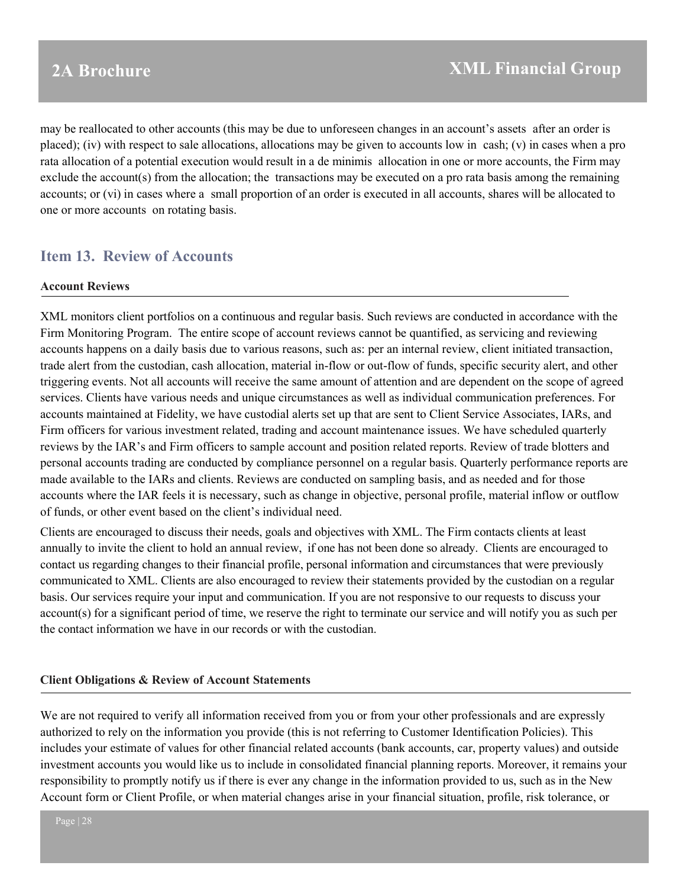may be reallocated to other accounts (this may be due to unforeseen changes in an account's assets after an order is placed); (iv) with respect to sale allocations, allocations may be given to accounts low in cash; (v) in cases when a pro rata allocation of a potential execution would result in a de minimis allocation in one or more accounts, the Firm may exclude the account(s) from the allocation; the transactions may be executed on a pro rata basis among the remaining accounts; or (vi) in cases where a small proportion of an order is executed in all accounts, shares will be allocated to one or more accounts on rotating basis.

## <span id="page-27-0"></span>**Item 13. Review of Accounts**

#### **Account Reviews**

XML monitors client portfolios on a continuous and regular basis. Such reviews are conducted in accordance with the Firm Monitoring Program. The entire scope of account reviews cannot be quantified, as servicing and reviewing accounts happens on a daily basis due to various reasons, such as: per an internal review, client initiated transaction, trade alert from the custodian, cash allocation, material in-flow or out-flow of funds, specific security alert, and other triggering events. Not all accounts will receive the same amount of attention and are dependent on the scope of agreed services. Clients have various needs and unique circumstances as well as individual communication preferences. For accounts maintained at Fidelity, we have custodial alerts set up that are sent to Client Service Associates, IARs, and Firm officers for various investment related, trading and account maintenance issues. We have scheduled quarterly reviews by the IAR's and Firm officers to sample account and position related reports. Review of trade blotters and personal accounts trading are conducted by compliance personnel on a regular basis. Quarterly performance reports are made available to the IARs and clients. Reviews are conducted on sampling basis, and as needed and for those accounts where the IAR feels it is necessary, such as change in objective, personal profile, material inflow or outflow of funds, or other event based on the client's individual need.

Clients are encouraged to discuss their needs, goals and objectives with XML. The Firm contacts clients at least annually to invite the client to hold an annual review, if one has not been done so already. Clients are encouraged to contact us regarding changes to their financial profile, personal information and circumstances that were previously communicated to XML. Clients are also encouraged to review their statements provided by the custodian on a regular basis. Our services require your input and communication. If you are not responsive to our requests to discuss your account(s) for a significant period of time, we reserve the right to terminate our service and will notify you as such per the contact information we have in our records or with the custodian.

### **Client Obligations & Review of Account Statements**

We are not required to verify all information received from you or from your other professionals and are expressly authorized to rely on the information you provide (this is not referring to Customer Identification Policies). This includes your estimate of values for other financial related accounts (bank accounts, car, property values) and outside investment accounts you would like us to include in consolidated financial planning reports. Moreover, it remains your responsibility to promptly notify us if there is ever any change in the information provided to us, such as in the New Account form or Client Profile, or when material changes arise in your financial situation, profile, risk tolerance, or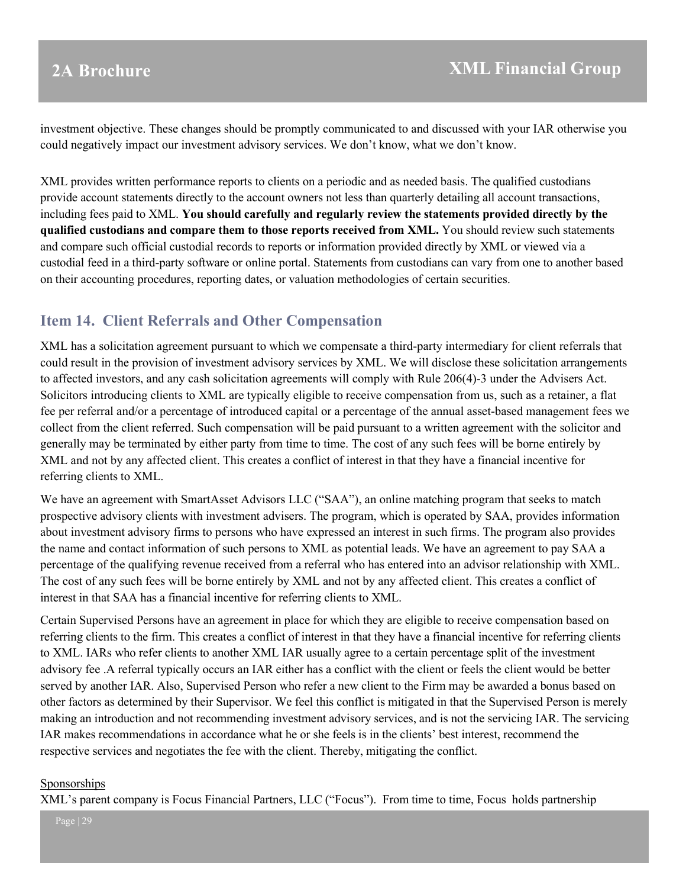investment objective. These changes should be promptly communicated to and discussed with your IAR otherwise you could negatively impact our investment advisory services. We don't know, what we don't know.

XML provides written performance reports to clients on a periodic and as needed basis. The qualified custodians provide account statements directly to the account owners not less than quarterly detailing all account transactions, including fees paid to XML. **You should carefully and regularly review the statements provided directly by the qualified custodians and compare them to those reports received from XML.** You should review such statements and compare such official custodial records to reports or information provided directly by XML or viewed via a custodial feed in a third-party software or online portal. Statements from custodians can vary from one to another based on their accounting procedures, reporting dates, or valuation methodologies of certain securities.

## <span id="page-28-0"></span>**Item 14. Client Referrals and Other Compensation**

XML has a solicitation agreement pursuant to which we compensate a third-party intermediary for client referrals that could result in the provision of investment advisory services by XML. We will disclose these solicitation arrangements to affected investors, and any cash solicitation agreements will comply with Rule 206(4)-3 under the Advisers Act. Solicitors introducing clients to XML are typically eligible to receive compensation from us, such as a retainer, a flat fee per referral and/or a percentage of introduced capital or a percentage of the annual asset-based management fees we collect from the client referred. Such compensation will be paid pursuant to a written agreement with the solicitor and generally may be terminated by either party from time to time. The cost of any such fees will be borne entirely by XML and not by any affected client. This creates a conflict of interest in that they have a financial incentive for referring clients to XML.

We have an agreement with SmartAsset Advisors LLC ("SAA"), an online matching program that seeks to match prospective advisory clients with investment advisers. The program, which is operated by SAA, provides information about investment advisory firms to persons who have expressed an interest in such firms. The program also provides the name and contact information of such persons to XML as potential leads. We have an agreement to pay SAA a percentage of the qualifying revenue received from a referral who has entered into an advisor relationship with XML. The cost of any such fees will be borne entirely by XML and not by any affected client. This creates a conflict of interest in that SAA has a financial incentive for referring clients to XML.

Certain Supervised Persons have an agreement in place for which they are eligible to receive compensation based on referring clients to the firm. This creates a conflict of interest in that they have a financial incentive for referring clients to XML. IARs who refer clients to another XML IAR usually agree to a certain percentage split of the investment advisory fee .A referral typically occurs an IAR either has a conflict with the client or feels the client would be better served by another IAR. Also, Supervised Person who refer a new client to the Firm may be awarded a bonus based on other factors as determined by their Supervisor. We feel this conflict is mitigated in that the Supervised Person is merely making an introduction and not recommending investment advisory services, and is not the servicing IAR. The servicing IAR makes recommendations in accordance what he or she feels is in the clients' best interest, recommend the respective services and negotiates the fee with the client. Thereby, mitigating the conflict.

#### Sponsorships

XML's parent company is Focus Financial Partners, LLC ("Focus"). From time to time, Focus holds partnership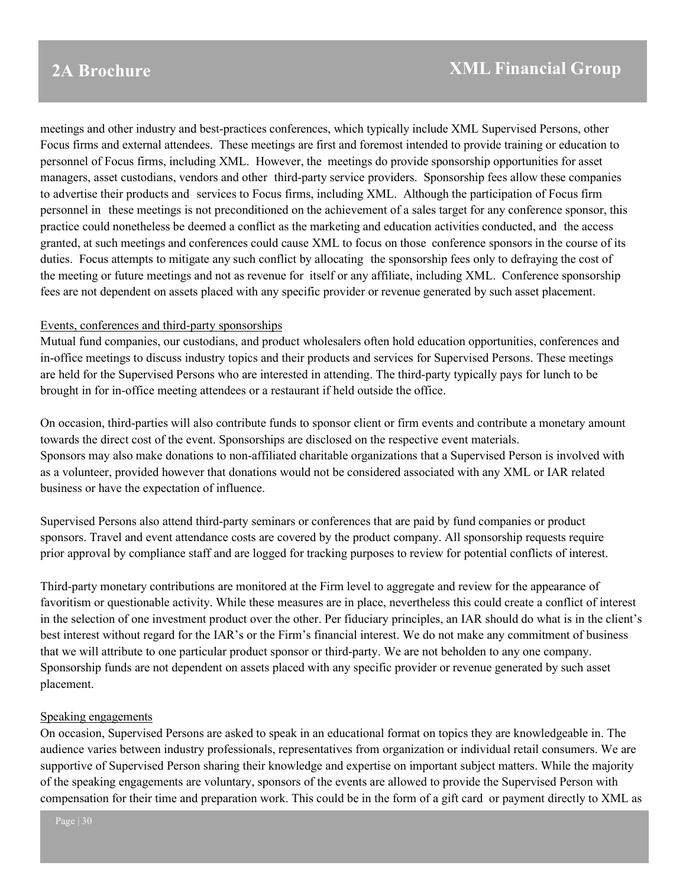meetings and other industry and best-practices conferences, which typically include XML Supervised Persons, other Focus firms and external attendees. These meetings are first and foremost intended to provide training or education to personnel of Focus firms, including XML. However, the meetings do provide sponsorship opportunities for asset managers, asset custodians, vendors and other third-party service providers. Sponsorship fees allow these companies to advertise their products and services to Focus firms, including XML. Although the participation of Focus firm personnel in these meetings is not preconditioned on the achievement of a sales target for any conference sponsor, this practice could nonetheless be deemed a conflict as the marketing and education activities conducted, and the access granted, at such meetings and conferences could cause XML to focus on those conference sponsors in the course of its duties. Focus attempts to mitigate any such conflict by allocating the sponsorship fees only to defraying the cost of the meeting or future meetings and not as revenue for itself or any affiliate, including XML. Conference sponsorship fees are not dependent on assets placed with any specific provider or revenue generated by such asset placement.

#### Events, conferences and third-party sponsorships

Mutual fund companies, our custodians, and product wholesalers often hold education opportunities, conferences and in-office meetings to discuss industry topics and their products and services for Supervised Persons. These meetings are held for the Supervised Persons who are interested in attending. The third-party typically pays for lunch to be brought in for in-office meeting attendees or a restaurant if held outside the office.

On occasion, third-parties will also contribute funds to sponsor client or firm events and contribute a monetary amount towards the direct cost of the event. Sponsorships are disclosed on the respective event materials. Sponsors may also make donations to non-affiliated charitable organizations that a Supervised Person is involved with as a volunteer, provided however that donations would not be considered associated with any XML or IAR related business or have the expectation of influence.

Supervised Persons also attend third-party seminars or conferences that are paid by fund companies or product sponsors. Travel and event attendance costs are covered by the product company. All sponsorship requests require prior approval by compliance staff and are logged for tracking purposes to review for potential conflicts of interest.

Third-party monetary contributions are monitored at the Firm level to aggregate and review for the appearance of favoritism or questionable activity. While these measures are in place, nevertheless this could create a conflict of interest in the selection of one investment product over the other. Per fiduciary principles, an IAR should do what is in the client's best interest without regard for the IAR's or the Firm's financial interest. We do not make any commitment of business that we will attribute to one particular product sponsor or third-party. We are not beholden to any one company. Sponsorship funds are not dependent on assets placed with any specific provider or revenue generated by such asset placement.

#### Speaking engagements

On occasion, Supervised Persons are asked to speak in an educational format on topics they are knowledgeable in. The audience varies between industry professionals, representatives from organization or individual retail consumers. We are supportive of Supervised Person sharing their knowledge and expertise on important subject matters. While the majority of the speaking engagements are voluntary, sponsors of the events are allowed to provide the Supervised Person with compensation for their time and preparation work. This could be in the form of a gift card or payment directly to XML as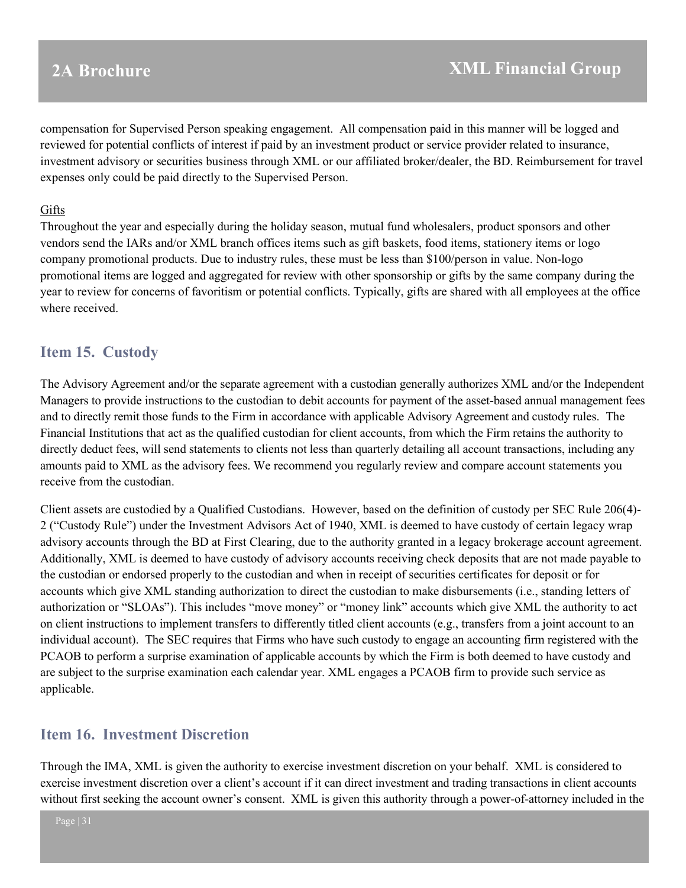compensation for Supervised Person speaking engagement. All compensation paid in this manner will be logged and reviewed for potential conflicts of interest if paid by an investment product or service provider related to insurance, investment advisory or securities business through XML or our affiliated broker/dealer, the BD. Reimbursement for travel expenses only could be paid directly to the Supervised Person.

#### Gifts

Throughout the year and especially during the holiday season, mutual fund wholesalers, product sponsors and other vendors send the IARs and/or XML branch offices items such as gift baskets, food items, stationery items or logo company promotional products. Due to industry rules, these must be less than \$100/person in value. Non-logo promotional items are logged and aggregated for review with other sponsorship or gifts by the same company during the year to review for concerns of favoritism or potential conflicts. Typically, gifts are shared with all employees at the office where received.

## <span id="page-30-0"></span>**Item 15. Custody**

The Advisory Agreement and/or the separate agreement with a custodian generally authorizes XML and/or the Independent Managers to provide instructions to the custodian to debit accounts for payment of the asset-based annual management fees and to directly remit those funds to the Firm in accordance with applicable Advisory Agreement and custody rules. The Financial Institutions that act as the qualified custodian for client accounts, from which the Firm retains the authority to directly deduct fees, will send statements to clients not less than quarterly detailing all account transactions, including any amounts paid to XML as the advisory fees. We recommend you regularly review and compare account statements you receive from the custodian.

Client assets are custodied by a Qualified Custodians. However, based on the definition of custody per SEC Rule 206(4)- 2 ("Custody Rule") under the Investment Advisors Act of 1940, XML is deemed to have custody of certain legacy wrap advisory accounts through the BD at First Clearing, due to the authority granted in a legacy brokerage account agreement. Additionally, XML is deemed to have custody of advisory accounts receiving check deposits that are not made payable to the custodian or endorsed properly to the custodian and when in receipt of securities certificates for deposit or for accounts which give XML standing authorization to direct the custodian to make disbursements (i.e., standing letters of authorization or "SLOAs"). This includes "move money" or "money link" accounts which give XML the authority to act on client instructions to implement transfers to differently titled client accounts (e.g., transfers from a joint account to an individual account). The SEC requires that Firms who have such custody to engage an accounting firm registered with the PCAOB to perform a surprise examination of applicable accounts by which the Firm is both deemed to have custody and are subject to the surprise examination each calendar year. XML engages a PCAOB firm to provide such service as applicable.

## <span id="page-30-1"></span>**Item 16. Investment Discretion**

Through the IMA, XML is given the authority to exercise investment discretion on your behalf. XML is considered to exercise investment discretion over a client's account if it can direct investment and trading transactions in client accounts without first seeking the account owner's consent. XML is given this authority through a power-of-attorney included in the